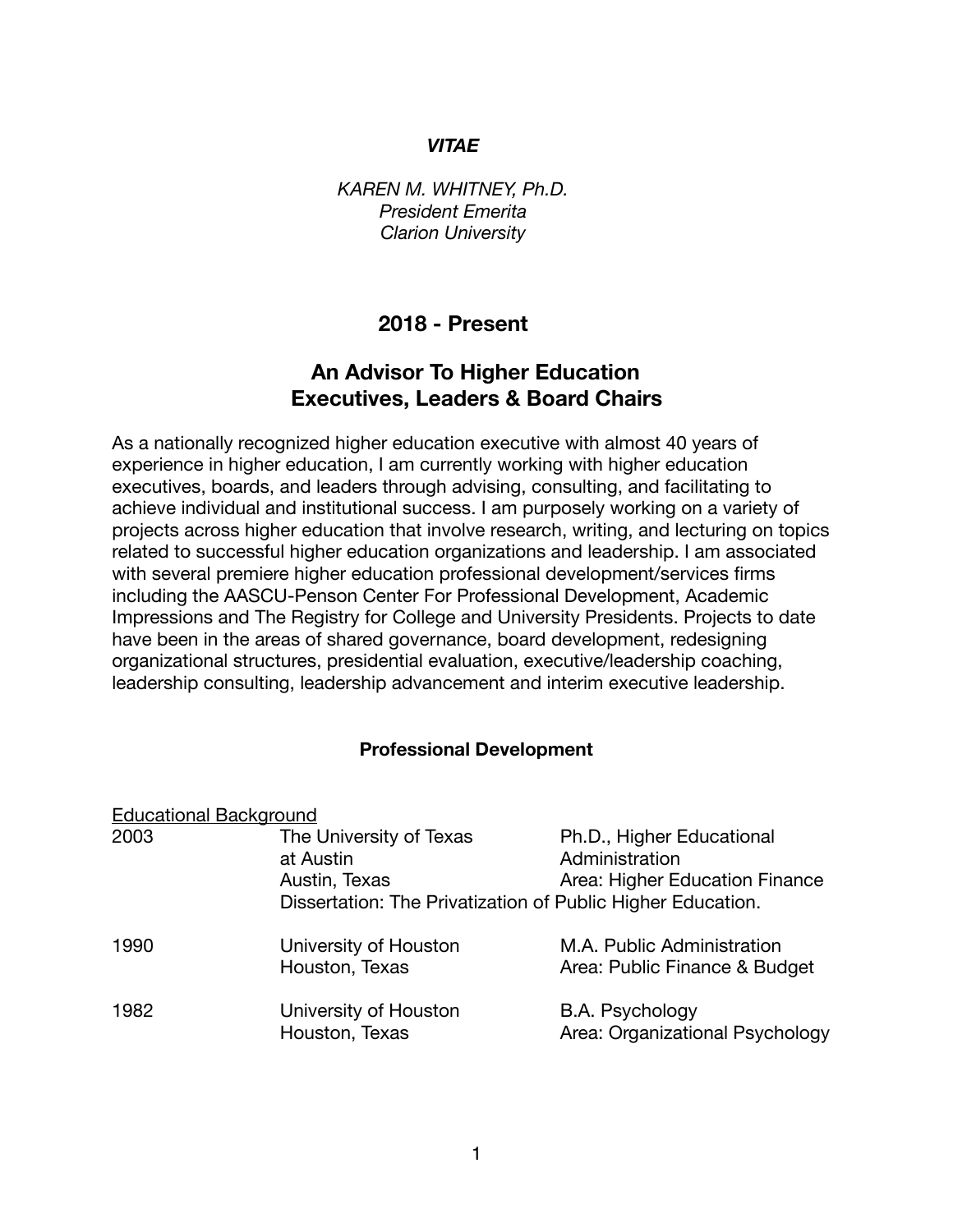#### *VITAE*

*KAREN M. WHITNEY, Ph.D. President Emerita Clarion University* 

# **2018 - Present**

# **An Advisor To Higher Education Executives, Leaders & Board Chairs**

As a nationally recognized higher education executive with almost 40 years of experience in higher education, I am currently working with higher education executives, boards, and leaders through advising, consulting, and facilitating to achieve individual and institutional success. I am purposely working on a variety of projects across higher education that involve research, writing, and lecturing on topics related to successful higher education organizations and leadership. I am associated with several premiere higher education professional development/services firms including the AASCU-Penson Center For Professional Development, Academic Impressions and The Registry for College and University Presidents. Projects to date have been in the areas of shared governance, board development, redesigning organizational structures, presidential evaluation, executive/leadership coaching, leadership consulting, leadership advancement and interim executive leadership.

#### **Professional Development**

| <b>Educational Background</b> |                                                                                                                      |                                                                               |
|-------------------------------|----------------------------------------------------------------------------------------------------------------------|-------------------------------------------------------------------------------|
| 2003                          | The University of Texas<br>at Austin<br>Austin, Texas<br>Dissertation: The Privatization of Public Higher Education. | Ph.D., Higher Educational<br>Administration<br>Area: Higher Education Finance |
| 1990                          | University of Houston<br>Houston, Texas                                                                              | M.A. Public Administration<br>Area: Public Finance & Budget                   |
| 1982                          | University of Houston<br>Houston, Texas                                                                              | B.A. Psychology<br>Area: Organizational Psychology                            |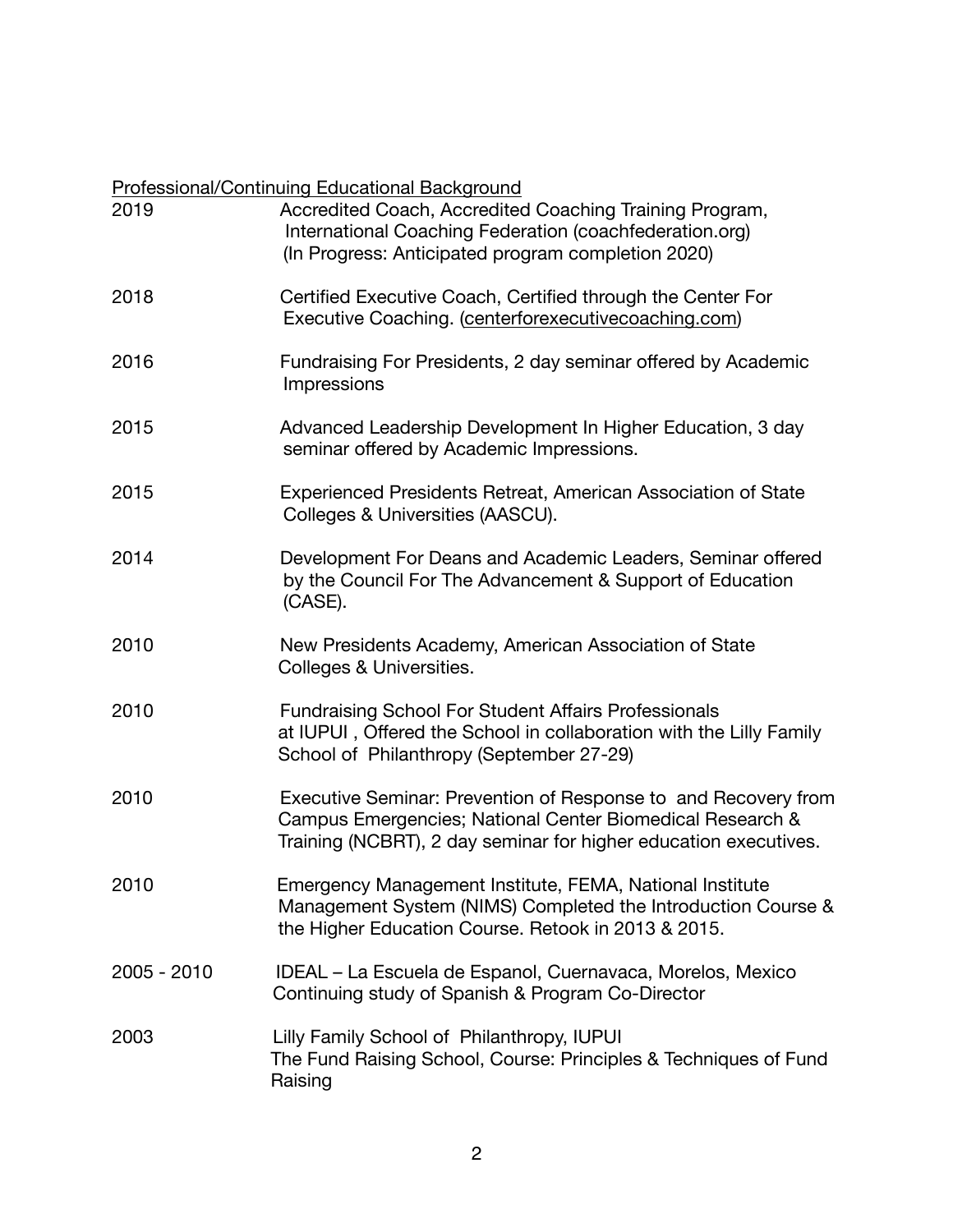#### Professional/Continuing Educational Background

| 2019          | Accredited Coach, Accredited Coaching Training Program,<br>International Coaching Federation (coachfederation.org)<br>(In Progress: Anticipated program completion 2020)                        |
|---------------|-------------------------------------------------------------------------------------------------------------------------------------------------------------------------------------------------|
| 2018          | Certified Executive Coach, Certified through the Center For<br>Executive Coaching. (centerforexecutive coaching.com)                                                                            |
| 2016          | Fundraising For Presidents, 2 day seminar offered by Academic<br>Impressions                                                                                                                    |
| 2015          | Advanced Leadership Development In Higher Education, 3 day<br>seminar offered by Academic Impressions.                                                                                          |
| 2015          | Experienced Presidents Retreat, American Association of State<br>Colleges & Universities (AASCU).                                                                                               |
| 2014          | Development For Deans and Academic Leaders, Seminar offered<br>by the Council For The Advancement & Support of Education<br>(CASE).                                                             |
| 2010          | New Presidents Academy, American Association of State<br>Colleges & Universities.                                                                                                               |
| 2010          | <b>Fundraising School For Student Affairs Professionals</b><br>at IUPUI, Offered the School in collaboration with the Lilly Family<br>School of Philanthropy (September 27-29)                  |
| 2010          | Executive Seminar: Prevention of Response to and Recovery from<br>Campus Emergencies; National Center Biomedical Research &<br>Training (NCBRT), 2 day seminar for higher education executives. |
| 2010          | Emergency Management Institute, FEMA, National Institute<br>Management System (NIMS) Completed the Introduction Course &<br>the Higher Education Course. Retook in 2013 & 2015.                 |
| $2005 - 2010$ | IDEAL – La Escuela de Espanol, Cuernavaca, Morelos, Mexico<br>Continuing study of Spanish & Program Co-Director                                                                                 |
| 2003          | Lilly Family School of Philanthropy, IUPUI<br>The Fund Raising School, Course: Principles & Techniques of Fund<br>Raising                                                                       |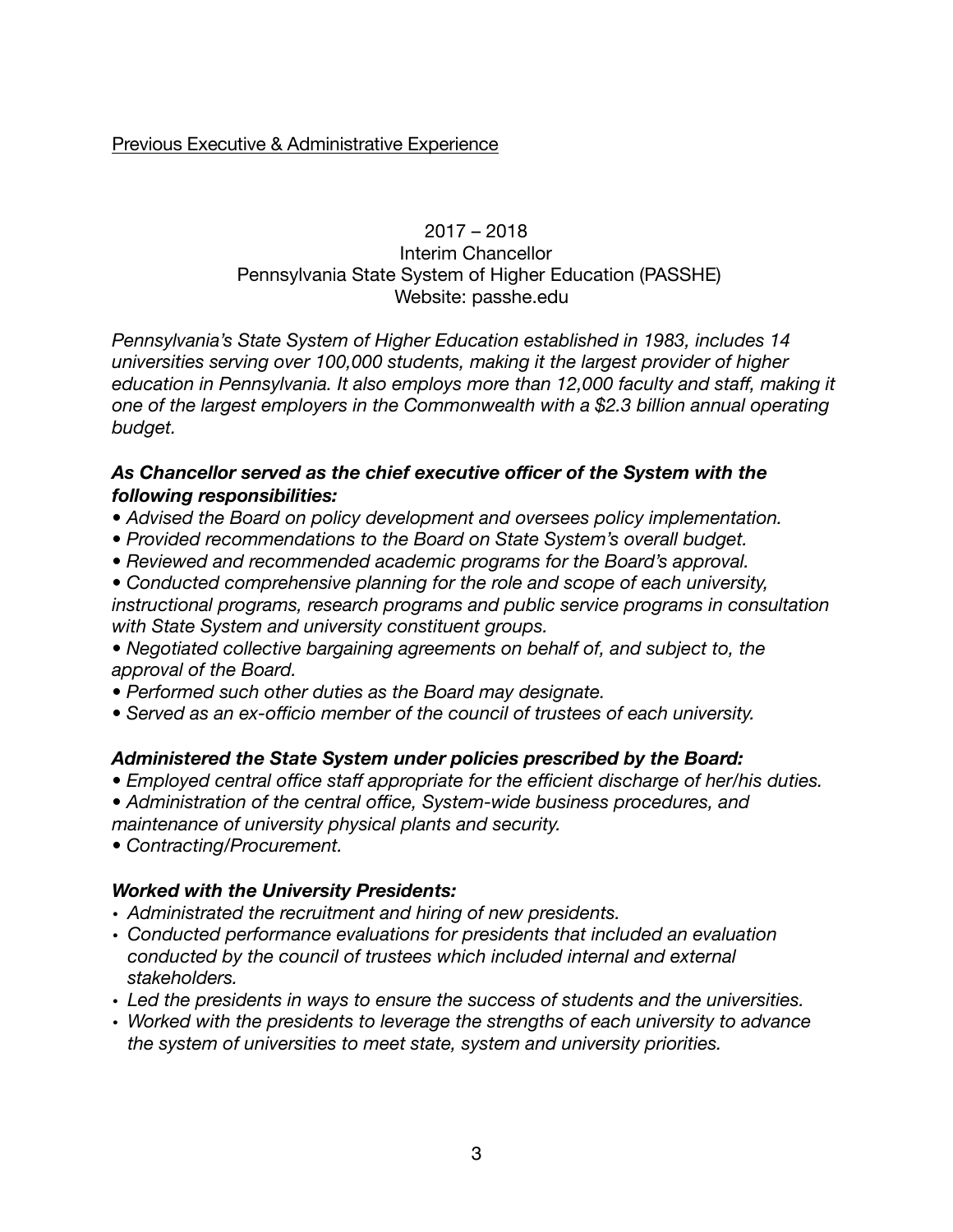Previous Executive & Administrative Experience

# 2017 – 2018 Interim Chancellor Pennsylvania State System of Higher Education (PASSHE) Website: passhe.edu

*Pennsylvania's State System of Higher Education established in 1983, includes 14 universities serving over 100,000 students, making it the largest provider of higher education in Pennsylvania. It also employs more than 12,000 faculty and staff, making it one of the largest employers in the Commonwealth with a \$2.3 billion annual operating budget.* 

# *As Chancellor served as the chief executive officer of the System with the following responsibilities:*

- *Advised the Board on policy development and oversees policy implementation.*
- *Provided recommendations to the Board on State System's overall budget.*
- *Reviewed and recommended academic programs for the Board's approval.*

*• Conducted comprehensive planning for the role and scope of each university, instructional programs, research programs and public service programs in consultation with State System and university constituent groups.* 

*• Negotiated collective bargaining agreements on behalf of, and subject to, the approval of the Board.* 

- *Performed such other duties as the Board may designate.*
- *Served as an ex-officio member of the council of trustees of each university.*

#### *Administered the State System under policies prescribed by the Board:*

- *Employed central office staff appropriate for the efficient discharge of her/his duties.*
- *Administration of the central office, System-wide business procedures, and maintenance of university physical plants and security.*
- *Contracting/Procurement.*

#### *Worked with the University Presidents:*

- *Administrated the recruitment and hiring of new presidents.*
- *Conducted performance evaluations for presidents that included an evaluation conducted by the council of trustees which included internal and external stakeholders.*
- *Led the presidents in ways to ensure the success of students and the universities.*
- *Worked with the presidents to leverage the strengths of each university to advance the system of universities to meet state, system and university priorities.*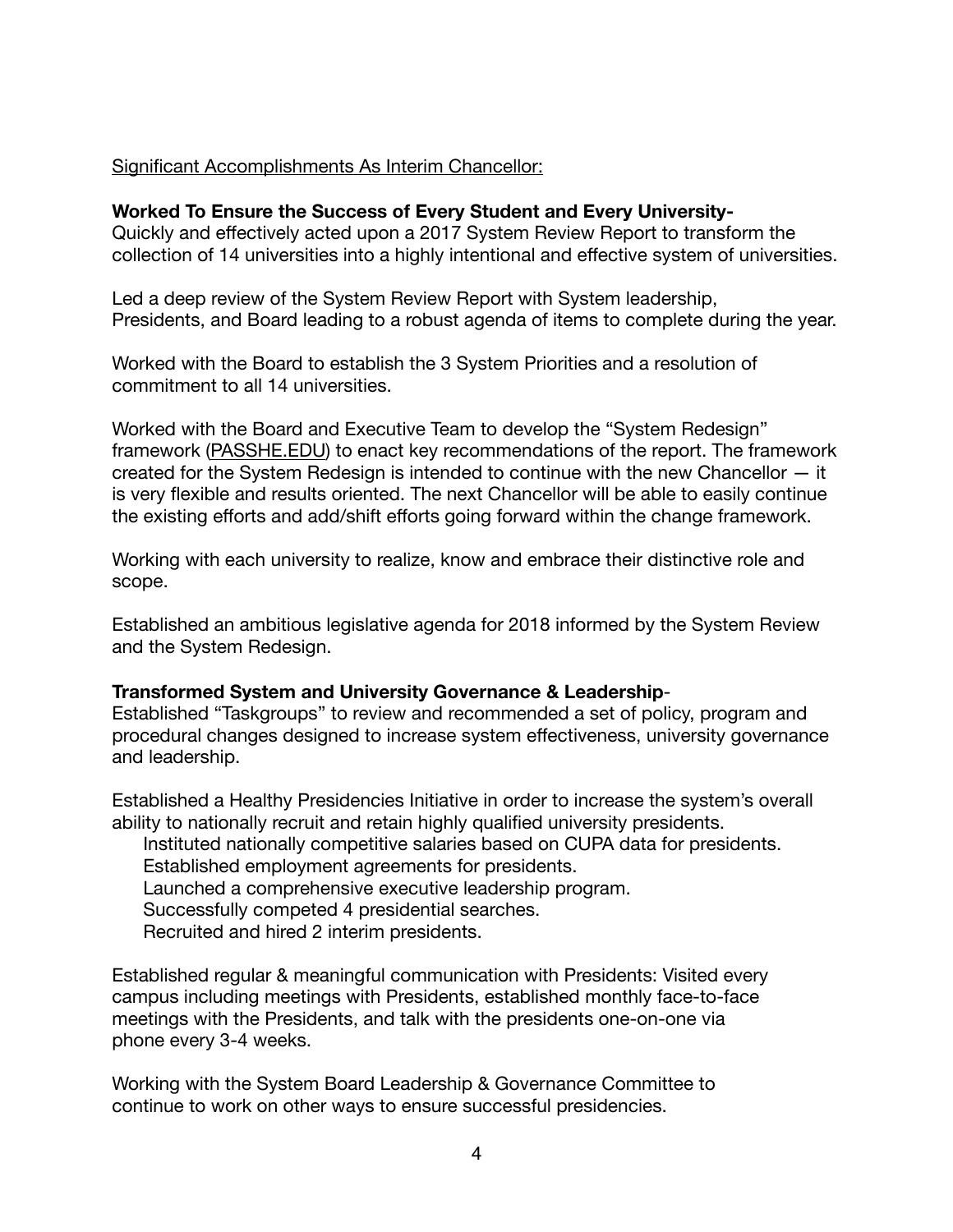# Significant Accomplishments As Interim Chancellor:

#### **Worked To Ensure the Success of Every Student and Every University-**

Quickly and effectively acted upon a 2017 System Review Report to transform the collection of 14 universities into a highly intentional and effective system of universities.

Led a deep review of the System Review Report with System leadership, Presidents, and Board leading to a robust agenda of items to complete during the year.

Worked with the Board to establish the 3 System Priorities and a resolution of commitment to all 14 universities.

Worked with the Board and Executive Team to develop the "System Redesign" framework [\(PASSHE.EDU](http://PASSHE.EDU)) to enact key recommendations of the report. The framework created for the System Redesign is intended to continue with the new Chancellor — it is very flexible and results oriented. The next Chancellor will be able to easily continue the existing efforts and add/shift efforts going forward within the change framework.

Working with each university to realize, know and embrace their distinctive role and scope.

Established an ambitious legislative agenda for 2018 informed by the System Review and the System Redesign.

#### **Transformed System and University Governance & Leadership**-

Established "Taskgroups" to review and recommended a set of policy, program and procedural changes designed to increase system effectiveness, university governance and leadership.

Established a Healthy Presidencies Initiative in order to increase the system's overall ability to nationally recruit and retain highly qualified university presidents.

 Instituted nationally competitive salaries based on CUPA data for presidents. Established employment agreements for presidents.

Launched a comprehensive executive leadership program.

Successfully competed 4 presidential searches.

Recruited and hired 2 interim presidents.

Established regular & meaningful communication with Presidents: Visited every campus including meetings with Presidents, established monthly face-to-face meetings with the Presidents, and talk with the presidents one-on-one via phone every 3-4 weeks.

Working with the System Board Leadership & Governance Committee to continue to work on other ways to ensure successful presidencies.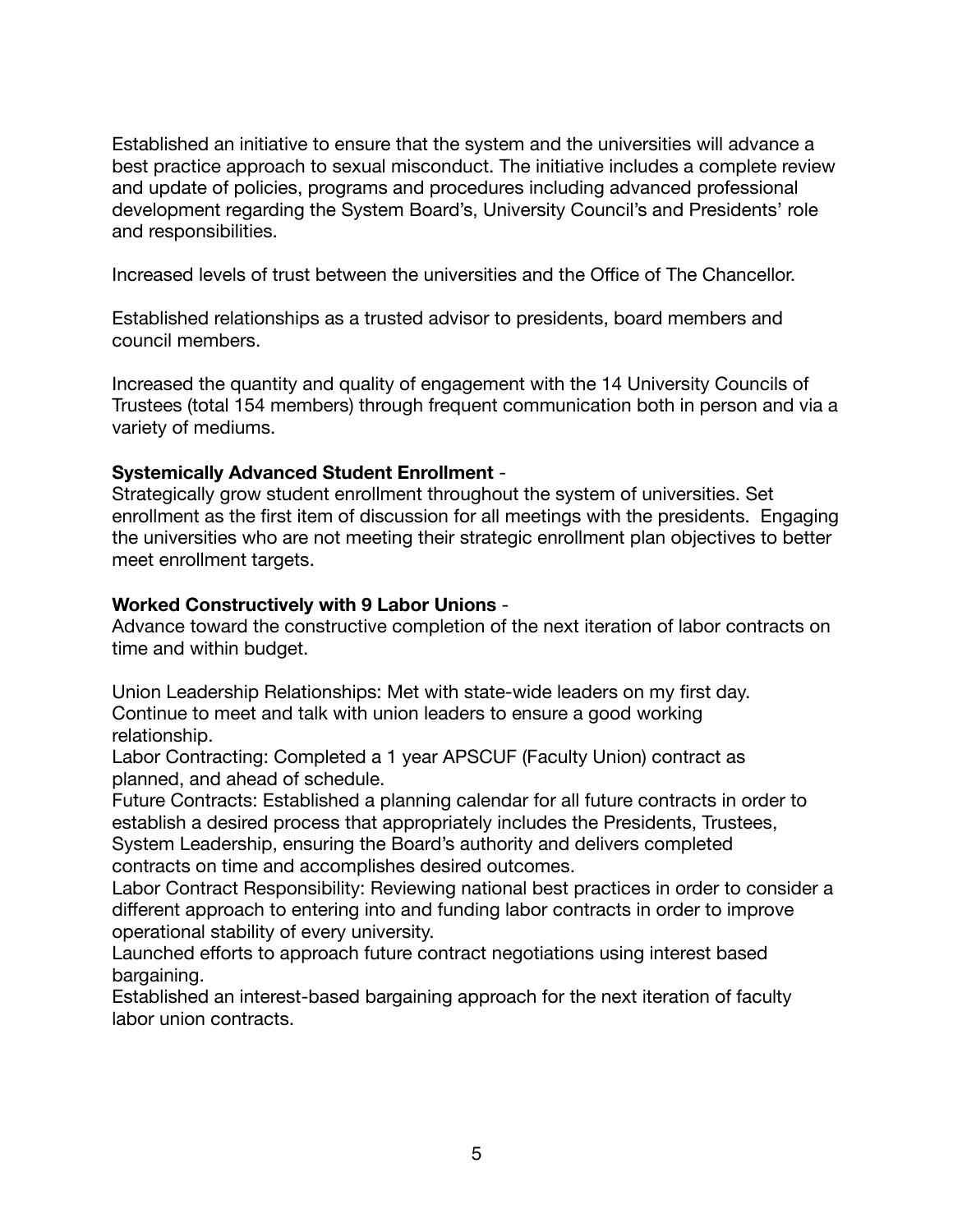Established an initiative to ensure that the system and the universities will advance a best practice approach to sexual misconduct. The initiative includes a complete review and update of policies, programs and procedures including advanced professional development regarding the System Board's, University Council's and Presidents' role and responsibilities.

Increased levels of trust between the universities and the Office of The Chancellor.

Established relationships as a trusted advisor to presidents, board members and council members.

Increased the quantity and quality of engagement with the 14 University Councils of Trustees (total 154 members) through frequent communication both in person and via a variety of mediums.

# **Systemically Advanced Student Enrollment** -

Strategically grow student enrollment throughout the system of universities. Set enrollment as the first item of discussion for all meetings with the presidents. Engaging the universities who are not meeting their strategic enrollment plan objectives to better meet enrollment targets.

# **Worked Constructively with 9 Labor Unions** -

Advance toward the constructive completion of the next iteration of labor contracts on time and within budget.

Union Leadership Relationships: Met with state-wide leaders on my first day. Continue to meet and talk with union leaders to ensure a good working relationship.

Labor Contracting: Completed a 1 year APSCUF (Faculty Union) contract as planned, and ahead of schedule.

Future Contracts: Established a planning calendar for all future contracts in order to establish a desired process that appropriately includes the Presidents, Trustees, System Leadership, ensuring the Board's authority and delivers completed contracts on time and accomplishes desired outcomes.

Labor Contract Responsibility: Reviewing national best practices in order to consider a different approach to entering into and funding labor contracts in order to improve operational stability of every university.

Launched efforts to approach future contract negotiations using interest based bargaining.

Established an interest-based bargaining approach for the next iteration of faculty labor union contracts.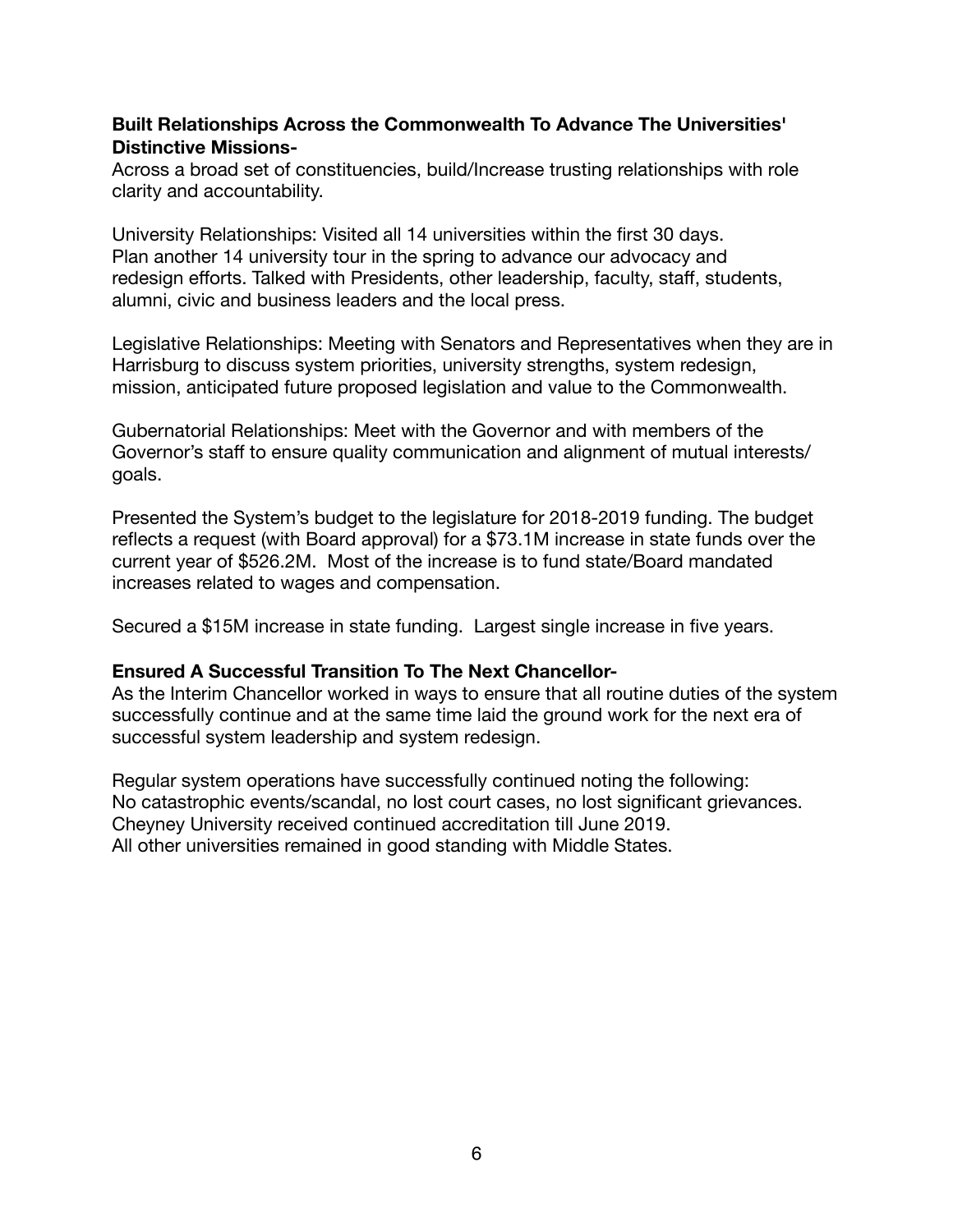# **Built Relationships Across the Commonwealth To Advance The Universities' Distinctive Missions-**

Across a broad set of constituencies, build/Increase trusting relationships with role clarity and accountability.

University Relationships: Visited all 14 universities within the first 30 days. Plan another 14 university tour in the spring to advance our advocacy and redesign efforts. Talked with Presidents, other leadership, faculty, staff, students, alumni, civic and business leaders and the local press.

Legislative Relationships: Meeting with Senators and Representatives when they are in Harrisburg to discuss system priorities, university strengths, system redesign, mission, anticipated future proposed legislation and value to the Commonwealth.

Gubernatorial Relationships: Meet with the Governor and with members of the Governor's staff to ensure quality communication and alignment of mutual interests/ goals. 

Presented the System's budget to the legislature for 2018-2019 funding. The budget reflects a request (with Board approval) for a \$73.1M increase in state funds over the current year of \$526.2M. Most of the increase is to fund state/Board mandated increases related to wages and compensation.

Secured a \$15M increase in state funding. Largest single increase in five years.

#### **Ensured A Successful Transition To The Next Chancellor-**

As the Interim Chancellor worked in ways to ensure that all routine duties of the system successfully continue and at the same time laid the ground work for the next era of successful system leadership and system redesign.

Regular system operations have successfully continued noting the following: No catastrophic events/scandal, no lost court cases, no lost significant grievances. Cheyney University received continued accreditation till June 2019. All other universities remained in good standing with Middle States.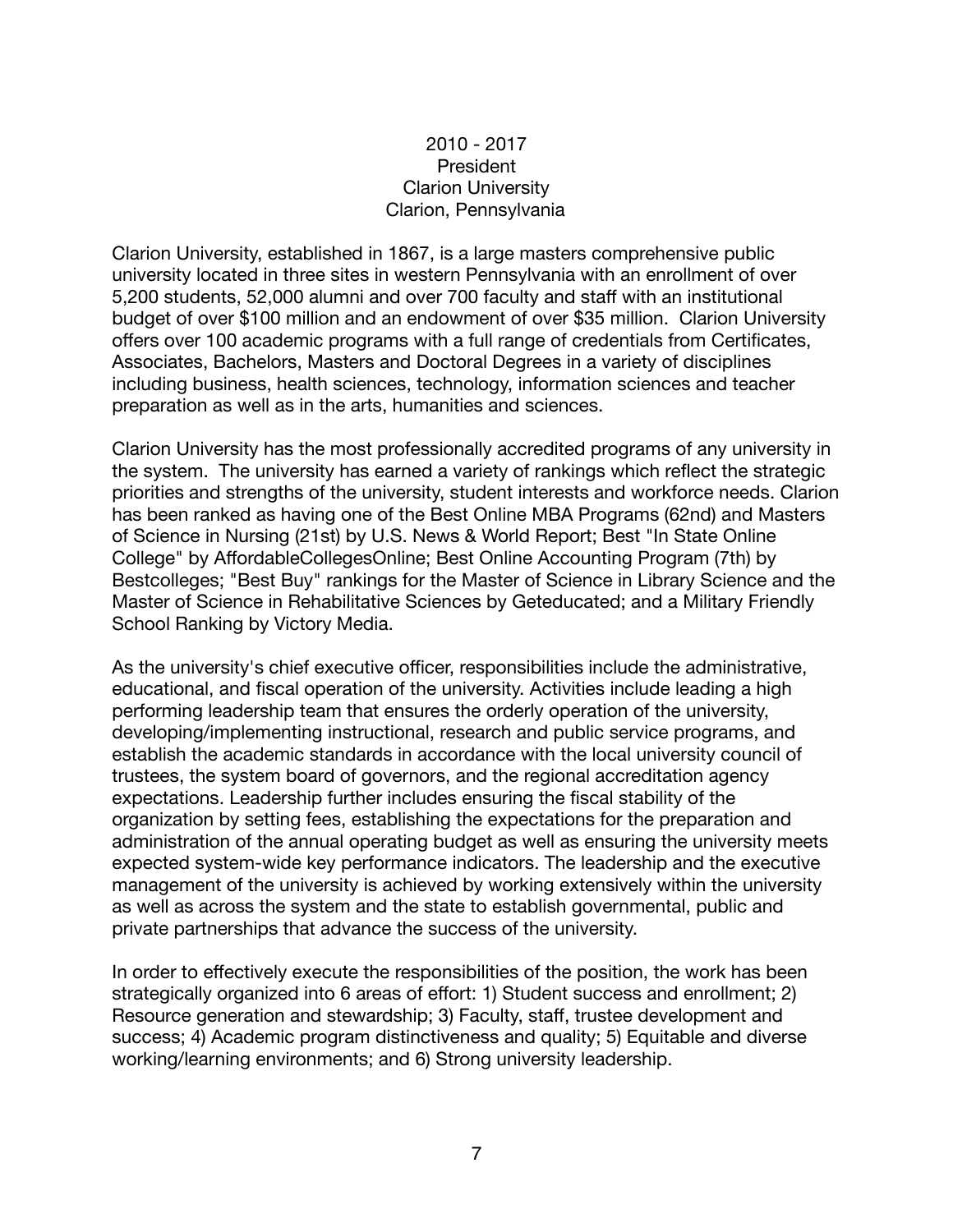# 2010 - 2017 President Clarion University Clarion, Pennsylvania

Clarion University, established in 1867, is a large masters comprehensive public university located in three sites in western Pennsylvania with an enrollment of over 5,200 students, 52,000 alumni and over 700 faculty and staff with an institutional budget of over \$100 million and an endowment of over \$35 million. Clarion University offers over 100 academic programs with a full range of credentials from Certificates, Associates, Bachelors, Masters and Doctoral Degrees in a variety of disciplines including business, health sciences, technology, information sciences and teacher preparation as well as in the arts, humanities and sciences.

Clarion University has the most professionally accredited programs of any university in the system. The university has earned a variety of rankings which reflect the strategic priorities and strengths of the university, student interests and workforce needs. Clarion has been ranked as having one of the Best Online MBA Programs (62nd) and Masters of Science in Nursing (21st) by U.S. News & World Report; Best "In State Online College" by AffordableCollegesOnline; Best Online Accounting Program (7th) by Bestcolleges; "Best Buy" rankings for the Master of Science in Library Science and the Master of Science in Rehabilitative Sciences by Geteducated; and a Military Friendly School Ranking by Victory Media.

As the university's chief executive officer, responsibilities include the administrative, educational, and fiscal operation of the university. Activities include leading a high performing leadership team that ensures the orderly operation of the university, developing/implementing instructional, research and public service programs, and establish the academic standards in accordance with the local university council of trustees, the system board of governors, and the regional accreditation agency expectations. Leadership further includes ensuring the fiscal stability of the organization by setting fees, establishing the expectations for the preparation and administration of the annual operating budget as well as ensuring the university meets expected system-wide key performance indicators. The leadership and the executive management of the university is achieved by working extensively within the university as well as across the system and the state to establish governmental, public and private partnerships that advance the success of the university.

In order to effectively execute the responsibilities of the position, the work has been strategically organized into 6 areas of effort: 1) Student success and enrollment; 2) Resource generation and stewardship; 3) Faculty, staff, trustee development and success; 4) Academic program distinctiveness and quality; 5) Equitable and diverse working/learning environments; and 6) Strong university leadership.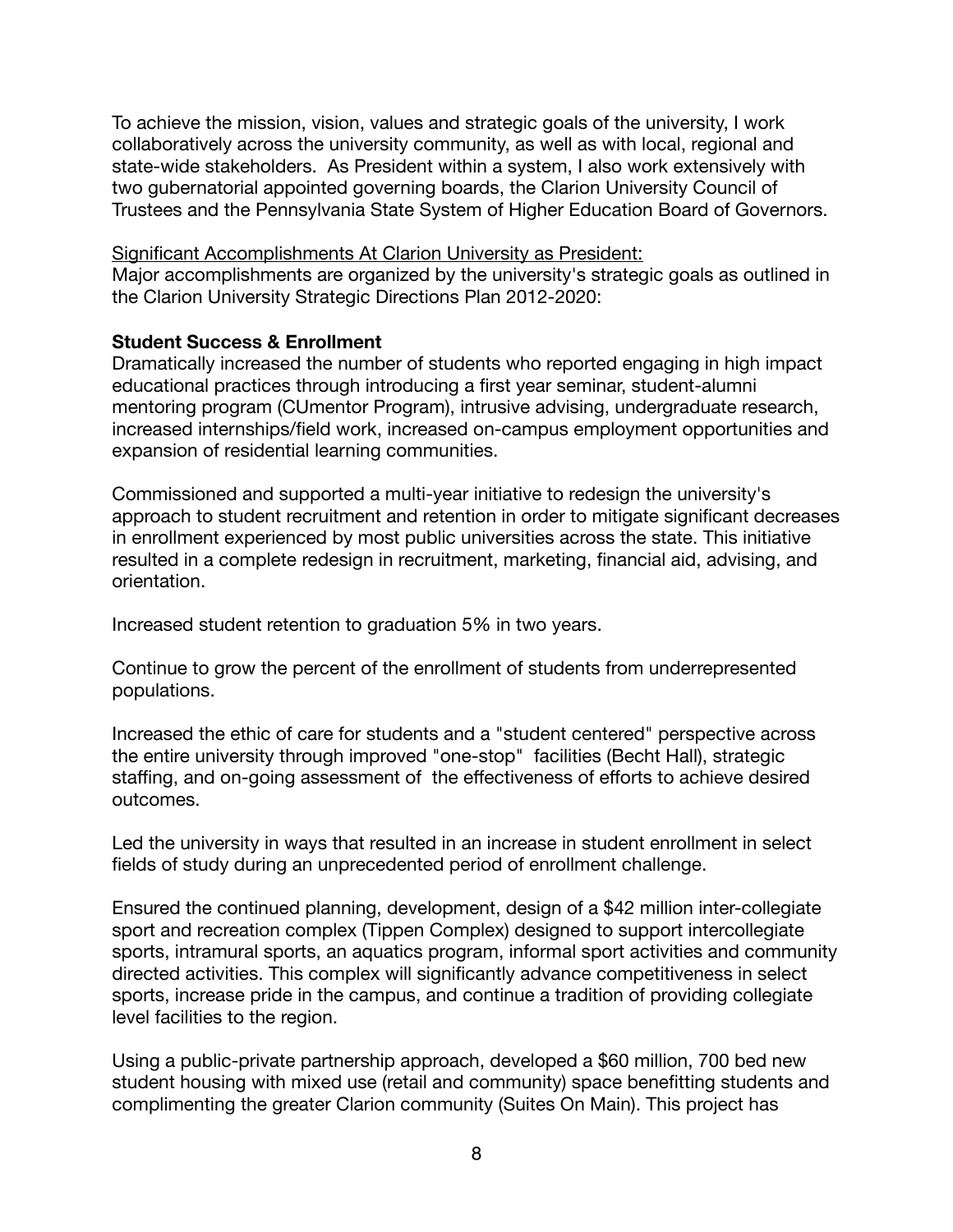To achieve the mission, vision, values and strategic goals of the university, I work collaboratively across the university community, as well as with local, regional and state-wide stakeholders. As President within a system, I also work extensively with two gubernatorial appointed governing boards, the Clarion University Council of Trustees and the Pennsylvania State System of Higher Education Board of Governors.

Significant Accomplishments At Clarion University as President: Major accomplishments are organized by the university's strategic goals as outlined in the Clarion University Strategic Directions Plan 2012-2020:

#### **Student Success & Enrollment**

Dramatically increased the number of students who reported engaging in high impact educational practices through introducing a first year seminar, student-alumni mentoring program (CUmentor Program), intrusive advising, undergraduate research, increased internships/field work, increased on-campus employment opportunities and expansion of residential learning communities.

Commissioned and supported a multi-year initiative to redesign the university's approach to student recruitment and retention in order to mitigate significant decreases in enrollment experienced by most public universities across the state. This initiative resulted in a complete redesign in recruitment, marketing, financial aid, advising, and orientation.

Increased student retention to graduation 5% in two years.

Continue to grow the percent of the enrollment of students from underrepresented populations.

Increased the ethic of care for students and a "student centered" perspective across the entire university through improved "one-stop" facilities (Becht Hall), strategic staffing, and on-going assessment of the effectiveness of efforts to achieve desired outcomes.

Led the university in ways that resulted in an increase in student enrollment in select fields of study during an unprecedented period of enrollment challenge.

Ensured the continued planning, development, design of a \$42 million inter-collegiate sport and recreation complex (Tippen Complex) designed to support intercollegiate sports, intramural sports, an aquatics program, informal sport activities and community directed activities. This complex will significantly advance competitiveness in select sports, increase pride in the campus, and continue a tradition of providing collegiate level facilities to the region.

Using a public-private partnership approach, developed a \$60 million, 700 bed new student housing with mixed use (retail and community) space benefitting students and complimenting the greater Clarion community (Suites On Main). This project has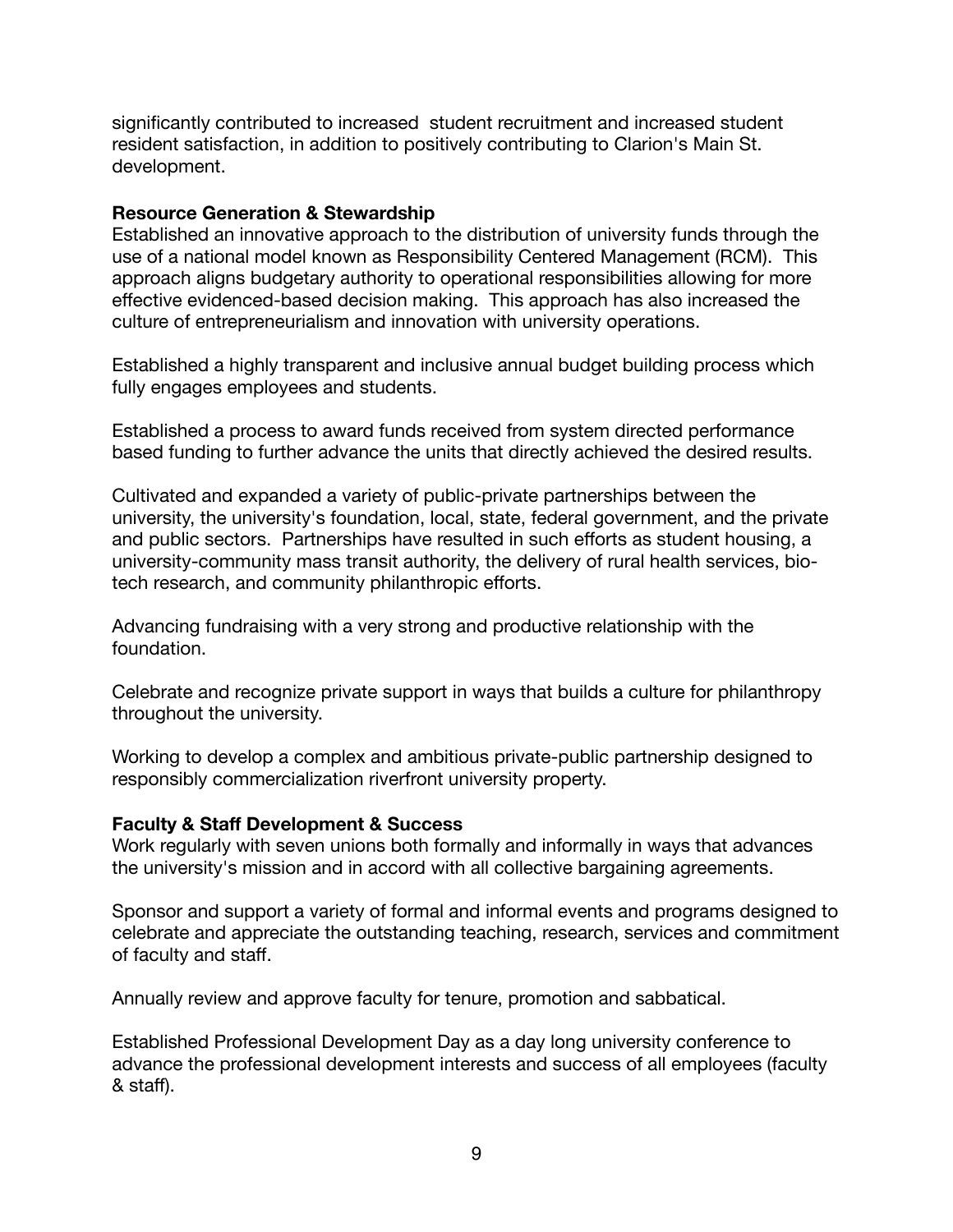significantly contributed to increased student recruitment and increased student resident satisfaction, in addition to positively contributing to Clarion's Main St. development.

#### **Resource Generation & Stewardship**

Established an innovative approach to the distribution of university funds through the use of a national model known as Responsibility Centered Management (RCM). This approach aligns budgetary authority to operational responsibilities allowing for more effective evidenced-based decision making. This approach has also increased the culture of entrepreneurialism and innovation with university operations.

Established a highly transparent and inclusive annual budget building process which fully engages employees and students.

Established a process to award funds received from system directed performance based funding to further advance the units that directly achieved the desired results.

Cultivated and expanded a variety of public-private partnerships between the university, the university's foundation, local, state, federal government, and the private and public sectors. Partnerships have resulted in such efforts as student housing, a university-community mass transit authority, the delivery of rural health services, biotech research, and community philanthropic efforts.

Advancing fundraising with a very strong and productive relationship with the foundation.

Celebrate and recognize private support in ways that builds a culture for philanthropy throughout the university.

Working to develop a complex and ambitious private-public partnership designed to responsibly commercialization riverfront university property.

#### **Faculty & Staff Development & Success**

Work regularly with seven unions both formally and informally in ways that advances the university's mission and in accord with all collective bargaining agreements.

Sponsor and support a variety of formal and informal events and programs designed to celebrate and appreciate the outstanding teaching, research, services and commitment of faculty and staff.

Annually review and approve faculty for tenure, promotion and sabbatical.

Established Professional Development Day as a day long university conference to advance the professional development interests and success of all employees (faculty & staff).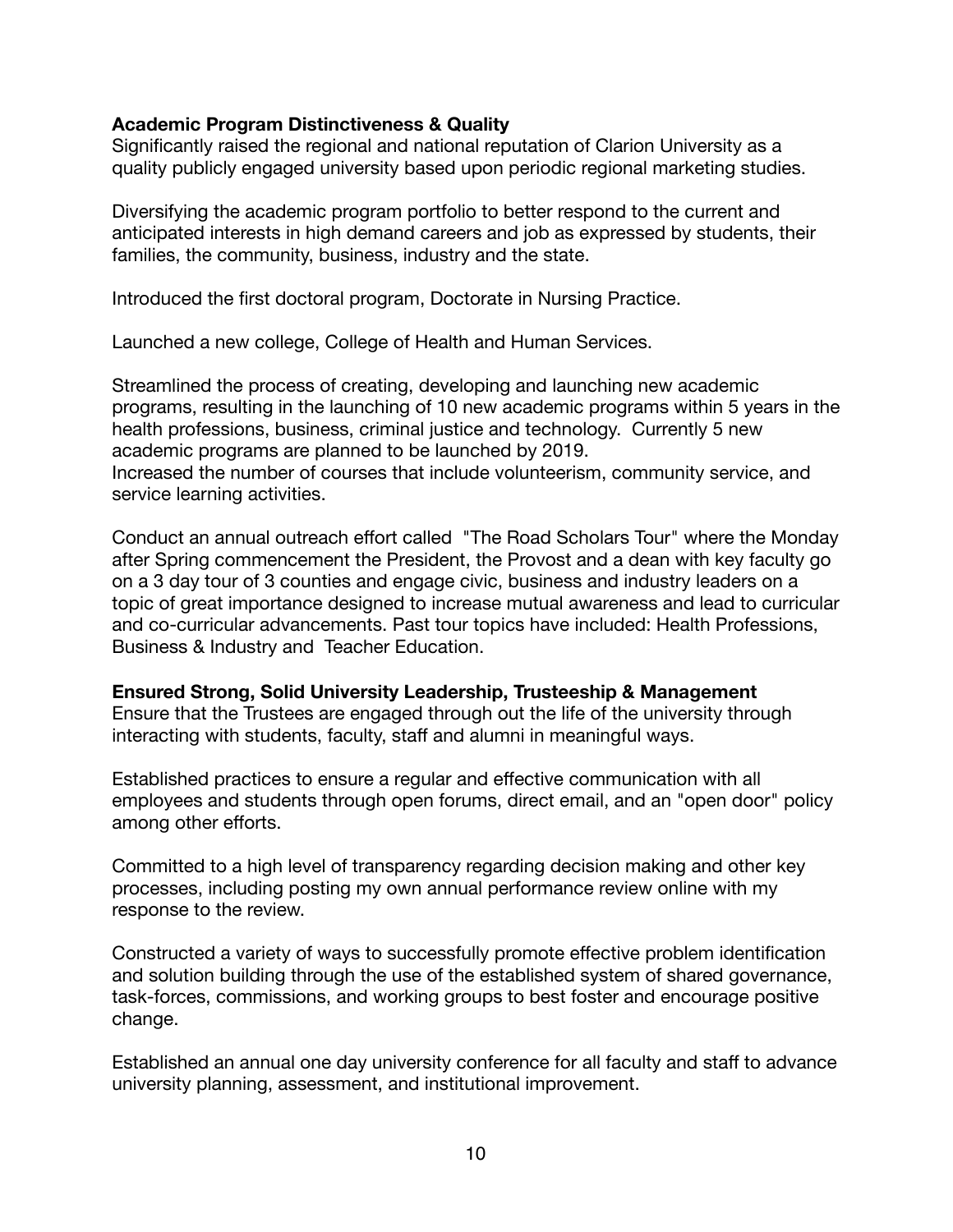#### **Academic Program Distinctiveness & Quality**

Significantly raised the regional and national reputation of Clarion University as a quality publicly engaged university based upon periodic regional marketing studies.

Diversifying the academic program portfolio to better respond to the current and anticipated interests in high demand careers and job as expressed by students, their families, the community, business, industry and the state.

Introduced the first doctoral program, Doctorate in Nursing Practice.

Launched a new college, College of Health and Human Services.

Streamlined the process of creating, developing and launching new academic programs, resulting in the launching of 10 new academic programs within 5 years in the health professions, business, criminal justice and technology. Currently 5 new academic programs are planned to be launched by 2019. Increased the number of courses that include volunteerism, community service, and service learning activities.

Conduct an annual outreach effort called "The Road Scholars Tour" where the Monday after Spring commencement the President, the Provost and a dean with key faculty go on a 3 day tour of 3 counties and engage civic, business and industry leaders on a topic of great importance designed to increase mutual awareness and lead to curricular and co-curricular advancements. Past tour topics have included: Health Professions, Business & Industry and Teacher Education.

**Ensured Strong, Solid University Leadership, Trusteeship & Management**  Ensure that the Trustees are engaged through out the life of the university through interacting with students, faculty, staff and alumni in meaningful ways.

Established practices to ensure a regular and effective communication with all employees and students through open forums, direct email, and an "open door" policy among other efforts.

Committed to a high level of transparency regarding decision making and other key processes, including posting my own annual performance review online with my response to the review.

Constructed a variety of ways to successfully promote effective problem identification and solution building through the use of the established system of shared governance, task-forces, commissions, and working groups to best foster and encourage positive change.

Established an annual one day university conference for all faculty and staff to advance university planning, assessment, and institutional improvement.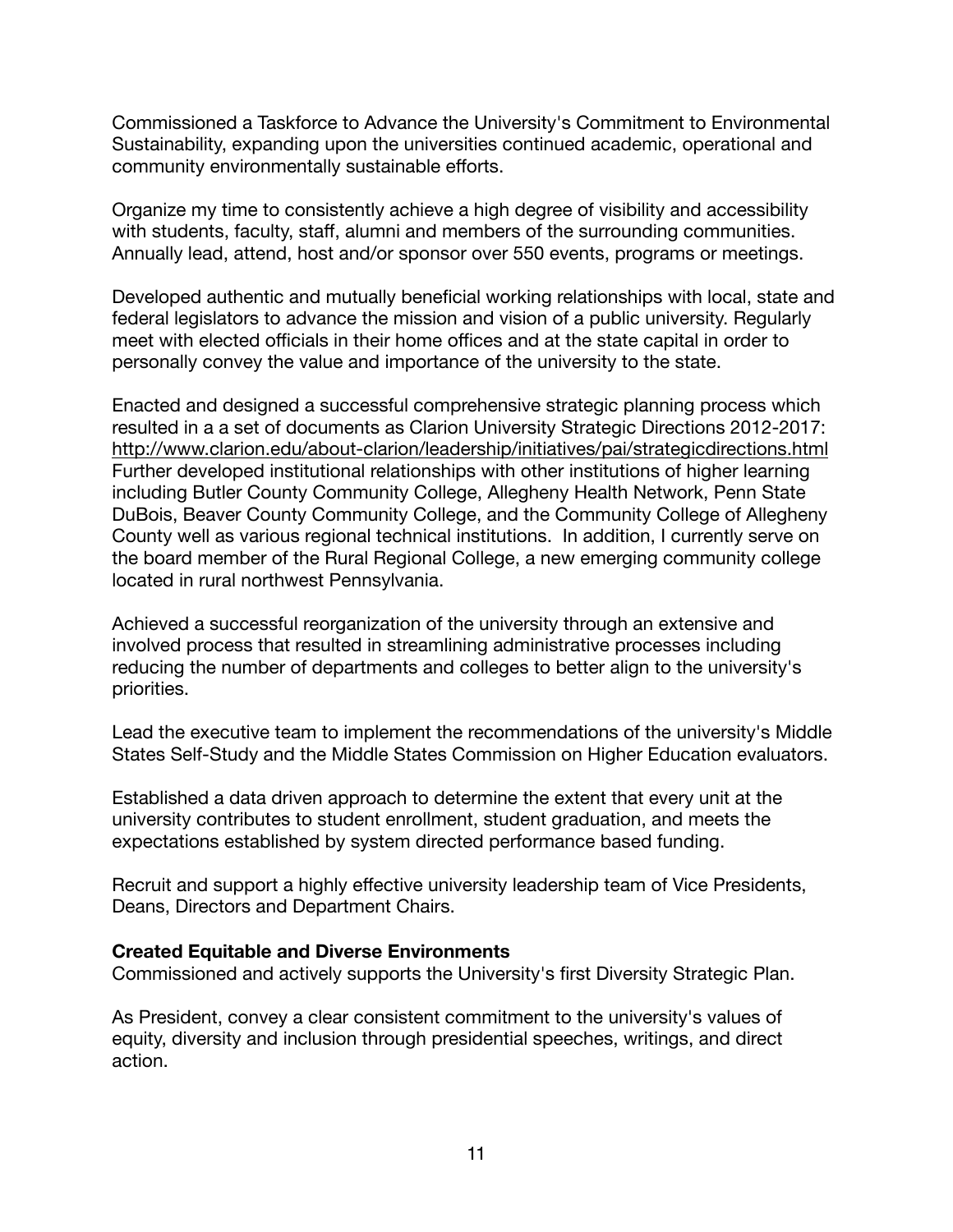Commissioned a Taskforce to Advance the University's Commitment to Environmental Sustainability, expanding upon the universities continued academic, operational and community environmentally sustainable efforts.

Organize my time to consistently achieve a high degree of visibility and accessibility with students, faculty, staff, alumni and members of the surrounding communities. Annually lead, attend, host and/or sponsor over 550 events, programs or meetings.

Developed authentic and mutually beneficial working relationships with local, state and federal legislators to advance the mission and vision of a public university. Regularly meet with elected officials in their home offices and at the state capital in order to personally convey the value and importance of the university to the state.

Enacted and designed a successful comprehensive strategic planning process which resulted in a a set of documents as Clarion University Strategic Directions 2012-2017: <http://www.clarion.edu/about-clarion/leadership/initiatives/pai/strategicdirections.html> Further developed institutional relationships with other institutions of higher learning including Butler County Community College, Allegheny Health Network, Penn State DuBois, Beaver County Community College, and the Community College of Allegheny County well as various regional technical institutions. In addition, I currently serve on the board member of the Rural Regional College, a new emerging community college located in rural northwest Pennsylvania.

Achieved a successful reorganization of the university through an extensive and involved process that resulted in streamlining administrative processes including reducing the number of departments and colleges to better align to the university's priorities.

Lead the executive team to implement the recommendations of the university's Middle States Self-Study and the Middle States Commission on Higher Education evaluators.

Established a data driven approach to determine the extent that every unit at the university contributes to student enrollment, student graduation, and meets the expectations established by system directed performance based funding.

Recruit and support a highly effective university leadership team of Vice Presidents, Deans, Directors and Department Chairs.

#### **Created Equitable and Diverse Environments**

Commissioned and actively supports the University's first Diversity Strategic Plan.

As President, convey a clear consistent commitment to the university's values of equity, diversity and inclusion through presidential speeches, writings, and direct action.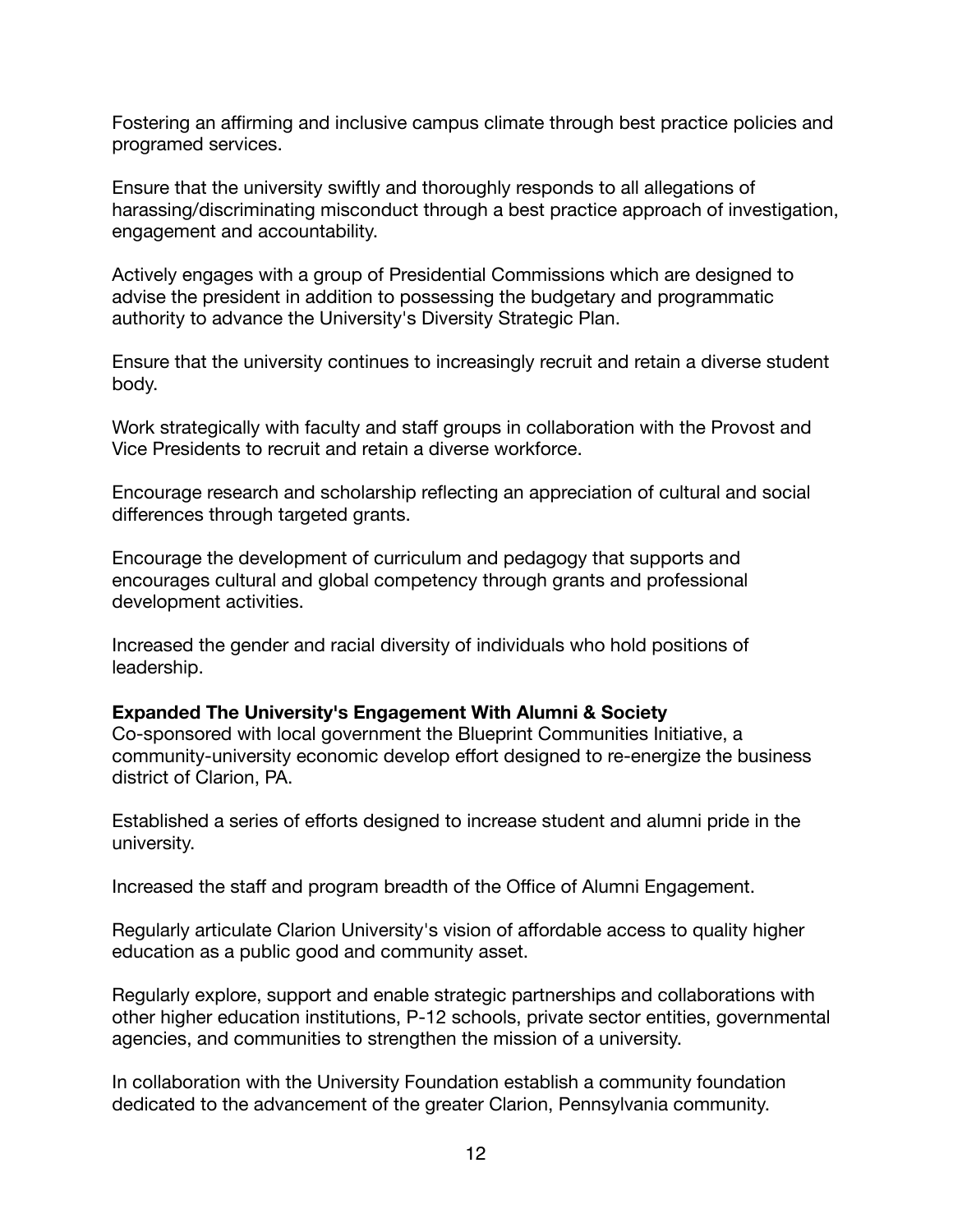Fostering an affirming and inclusive campus climate through best practice policies and programed services.

Ensure that the university swiftly and thoroughly responds to all allegations of harassing/discriminating misconduct through a best practice approach of investigation, engagement and accountability.

Actively engages with a group of Presidential Commissions which are designed to advise the president in addition to possessing the budgetary and programmatic authority to advance the University's Diversity Strategic Plan.

Ensure that the university continues to increasingly recruit and retain a diverse student body.

Work strategically with faculty and staff groups in collaboration with the Provost and Vice Presidents to recruit and retain a diverse workforce.

Encourage research and scholarship reflecting an appreciation of cultural and social differences through targeted grants.

Encourage the development of curriculum and pedagogy that supports and encourages cultural and global competency through grants and professional development activities.

Increased the gender and racial diversity of individuals who hold positions of leadership.

#### **Expanded The University's Engagement With Alumni & Society**

Co-sponsored with local government the Blueprint Communities Initiative, a community-university economic develop effort designed to re-energize the business district of Clarion, PA.

Established a series of efforts designed to increase student and alumni pride in the university.

Increased the staff and program breadth of the Office of Alumni Engagement.

Regularly articulate Clarion University's vision of affordable access to quality higher education as a public good and community asset.

Regularly explore, support and enable strategic partnerships and collaborations with other higher education institutions, P-12 schools, private sector entities, governmental agencies, and communities to strengthen the mission of a university.

In collaboration with the University Foundation establish a community foundation dedicated to the advancement of the greater Clarion, Pennsylvania community.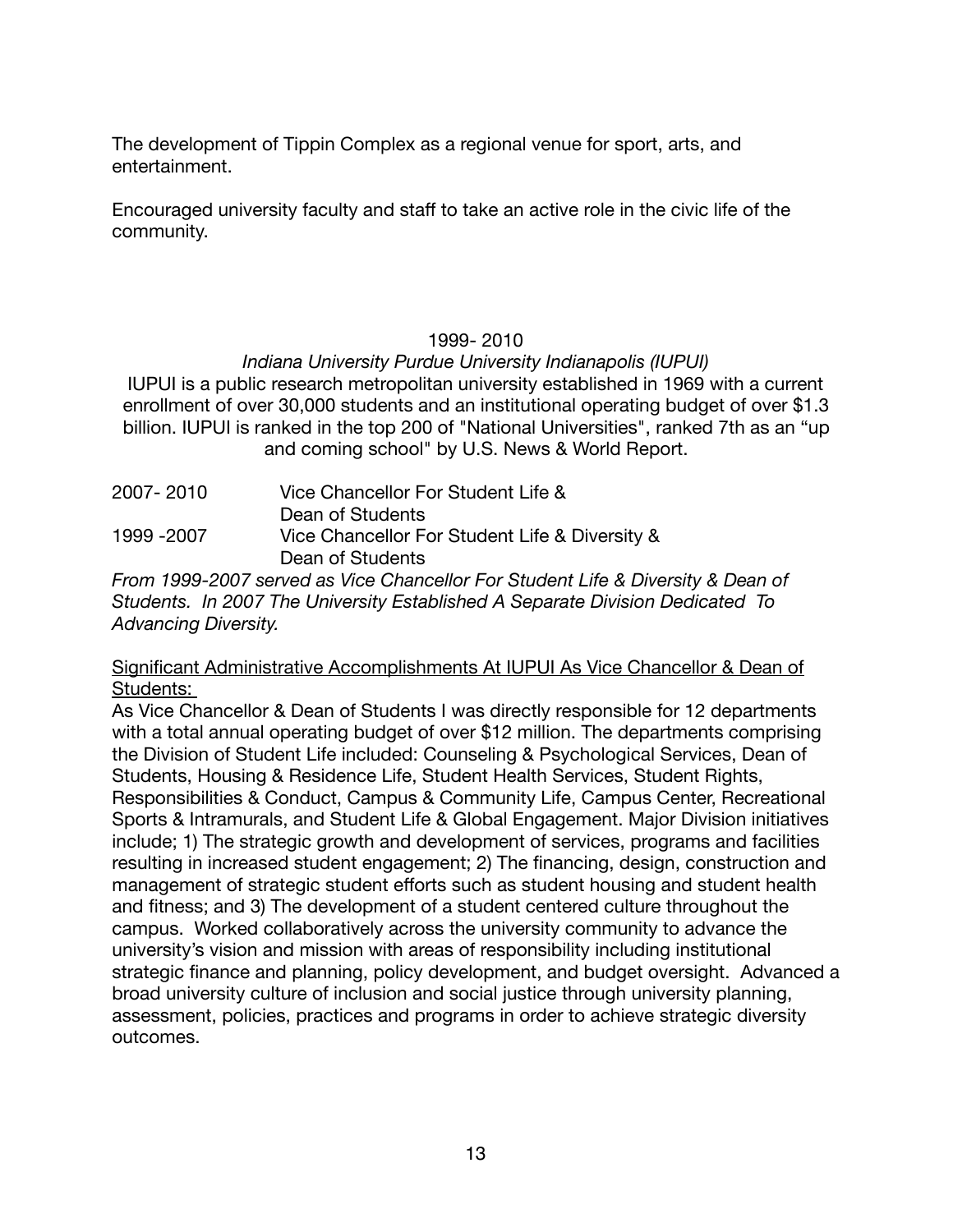The development of Tippin Complex as a regional venue for sport, arts, and entertainment.

Encouraged university faculty and staff to take an active role in the civic life of the community.

# 1999- 2010

# *Indiana University Purdue University Indianapolis (IUPUI)*

IUPUI is a public research metropolitan university established in 1969 with a current enrollment of over 30,000 students and an institutional operating budget of over \$1.3 billion. IUPUI is ranked in the top 200 of "National Universities", ranked 7th as an "up and coming school" by U.S. News & World Report.

| 2007-2010   | Vice Chancellor For Student Life &             |
|-------------|------------------------------------------------|
|             | Dean of Students                               |
| 1999 - 2007 | Vice Chancellor For Student Life & Diversity & |
|             | Dean of Students                               |

*From 1999-2007 served as Vice Chancellor For Student Life & Diversity & Dean of Students. In 2007 The University Established A Separate Division Dedicated To Advancing Diversity.*

Significant Administrative Accomplishments At IUPUI As Vice Chancellor & Dean of Students:

As Vice Chancellor & Dean of Students I was directly responsible for 12 departments with a total annual operating budget of over \$12 million. The departments comprising the Division of Student Life included: Counseling & Psychological Services, Dean of Students, Housing & Residence Life, Student Health Services, Student Rights, Responsibilities & Conduct, Campus & Community Life, Campus Center, Recreational Sports & Intramurals, and Student Life & Global Engagement. Major Division initiatives include; 1) The strategic growth and development of services, programs and facilities resulting in increased student engagement; 2) The financing, design, construction and management of strategic student efforts such as student housing and student health and fitness; and 3) The development of a student centered culture throughout the campus. Worked collaboratively across the university community to advance the university's vision and mission with areas of responsibility including institutional strategic finance and planning, policy development, and budget oversight. Advanced a broad university culture of inclusion and social justice through university planning, assessment, policies, practices and programs in order to achieve strategic diversity outcomes.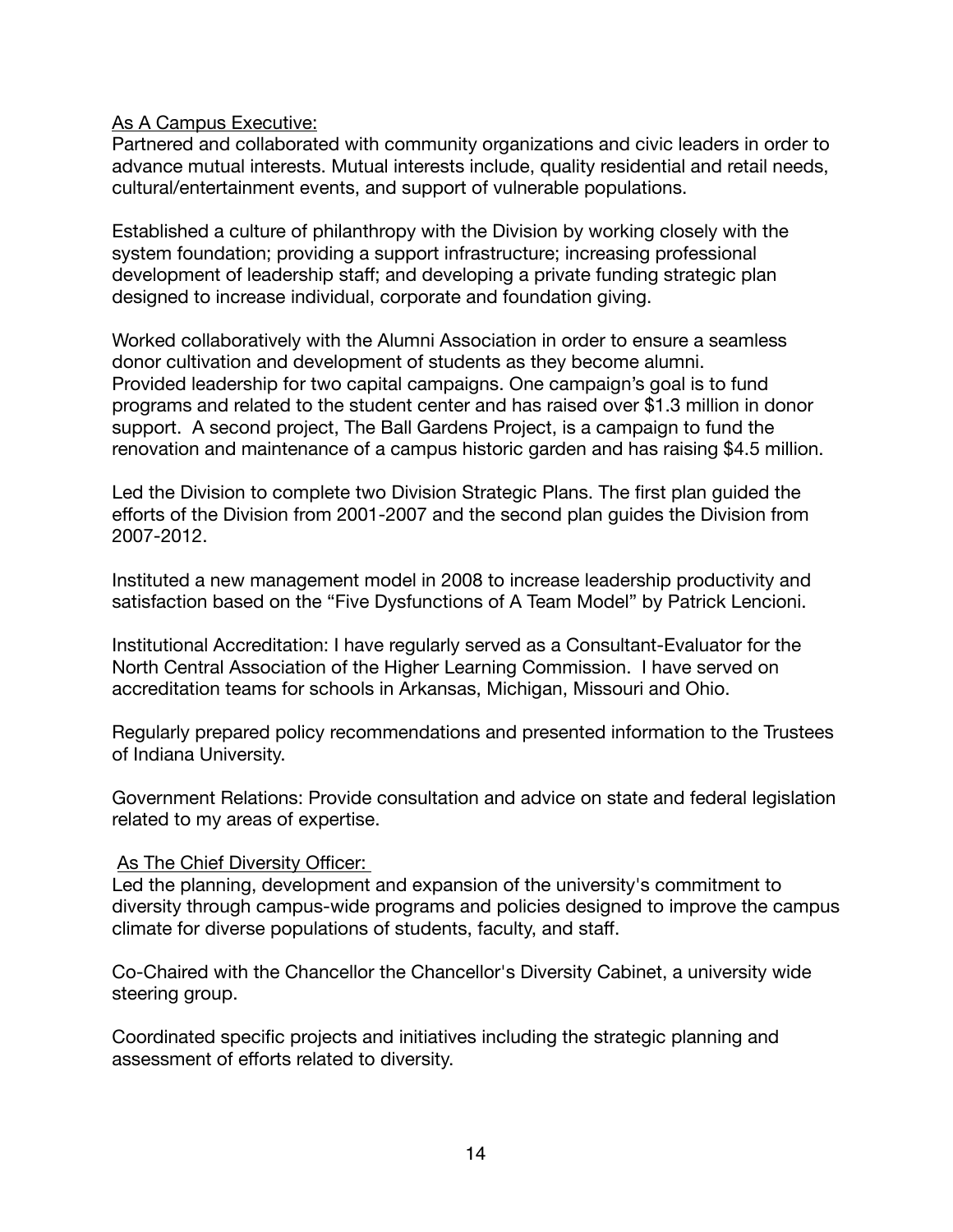As A Campus Executive:

Partnered and collaborated with community organizations and civic leaders in order to advance mutual interests. Mutual interests include, quality residential and retail needs, cultural/entertainment events, and support of vulnerable populations.

Established a culture of philanthropy with the Division by working closely with the system foundation; providing a support infrastructure; increasing professional development of leadership staff; and developing a private funding strategic plan designed to increase individual, corporate and foundation giving.

Worked collaboratively with the Alumni Association in order to ensure a seamless donor cultivation and development of students as they become alumni. Provided leadership for two capital campaigns. One campaign's goal is to fund programs and related to the student center and has raised over \$1.3 million in donor support. A second project, The Ball Gardens Project, is a campaign to fund the renovation and maintenance of a campus historic garden and has raising \$4.5 million.

Led the Division to complete two Division Strategic Plans. The first plan guided the efforts of the Division from 2001-2007 and the second plan guides the Division from 2007-2012.

Instituted a new management model in 2008 to increase leadership productivity and satisfaction based on the "Five Dysfunctions of A Team Model" by Patrick Lencioni.

Institutional Accreditation: I have regularly served as a Consultant-Evaluator for the North Central Association of the Higher Learning Commission. I have served on accreditation teams for schools in Arkansas, Michigan, Missouri and Ohio.

Regularly prepared policy recommendations and presented information to the Trustees of Indiana University.

Government Relations: Provide consultation and advice on state and federal legislation related to my areas of expertise.

#### As The Chief Diversity Officer:

Led the planning, development and expansion of the university's commitment to diversity through campus-wide programs and policies designed to improve the campus climate for diverse populations of students, faculty, and staff.

Co-Chaired with the Chancellor the Chancellor's Diversity Cabinet, a university wide steering group.

Coordinated specific projects and initiatives including the strategic planning and assessment of efforts related to diversity.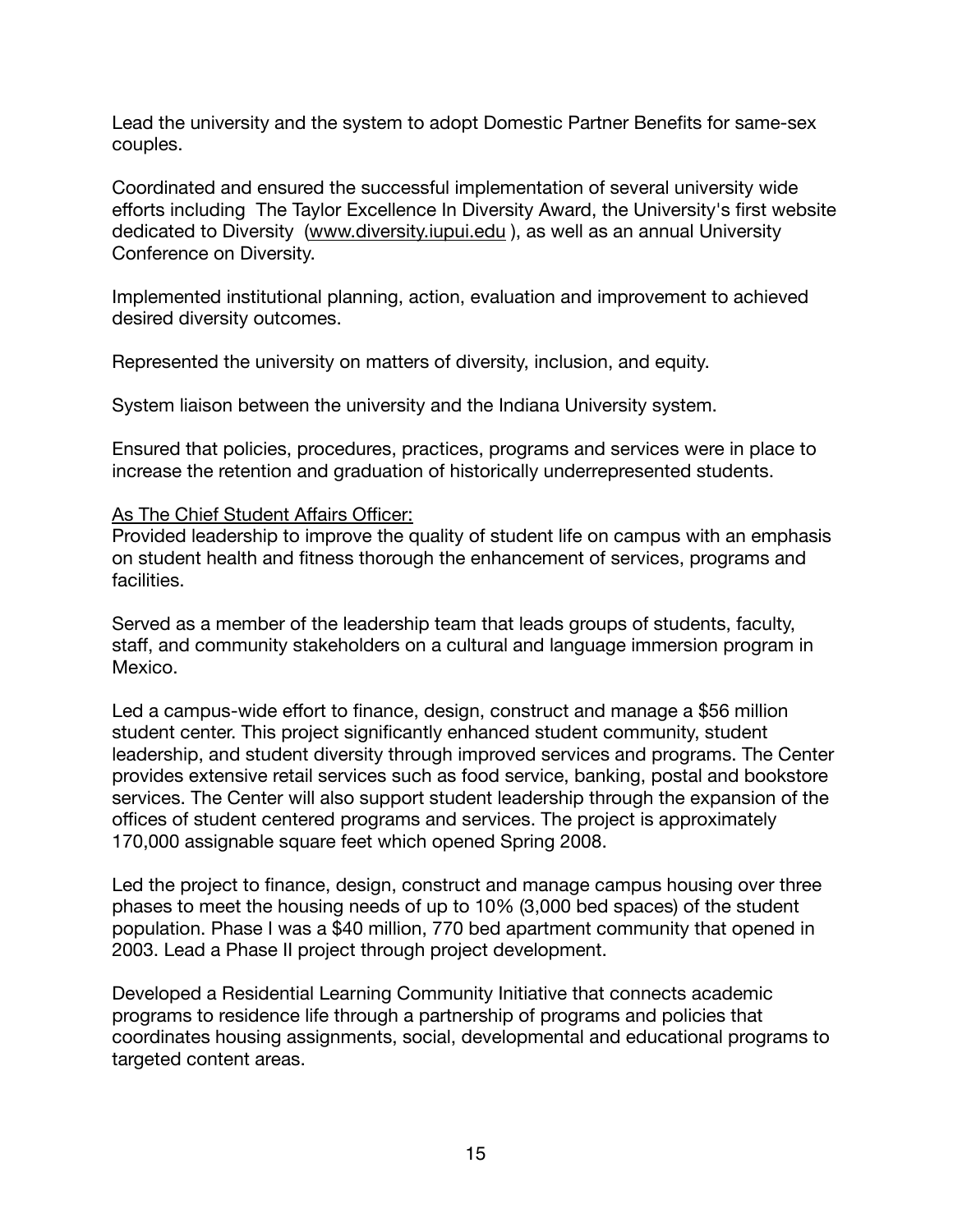Lead the university and the system to adopt Domestic Partner Benefits for same-sex couples.

Coordinated and ensured the successful implementation of several university wide efforts including The Taylor Excellence In Diversity Award, the University's first website dedicated to Diversity ([www.diversity.iupui.edu](http://www.diversity.iupui.edu) ), as well as an annual University Conference on Diversity.

Implemented institutional planning, action, evaluation and improvement to achieved desired diversity outcomes.

Represented the university on matters of diversity, inclusion, and equity.

System liaison between the university and the Indiana University system.

Ensured that policies, procedures, practices, programs and services were in place to increase the retention and graduation of historically underrepresented students.

#### As The Chief Student Affairs Officer:

Provided leadership to improve the quality of student life on campus with an emphasis on student health and fitness thorough the enhancement of services, programs and facilities.

Served as a member of the leadership team that leads groups of students, faculty, staff, and community stakeholders on a cultural and language immersion program in Mexico.

Led a campus-wide effort to finance, design, construct and manage a \$56 million student center. This project significantly enhanced student community, student leadership, and student diversity through improved services and programs. The Center provides extensive retail services such as food service, banking, postal and bookstore services. The Center will also support student leadership through the expansion of the offices of student centered programs and services. The project is approximately 170,000 assignable square feet which opened Spring 2008.

Led the project to finance, design, construct and manage campus housing over three phases to meet the housing needs of up to 10% (3,000 bed spaces) of the student population. Phase I was a \$40 million, 770 bed apartment community that opened in 2003. Lead a Phase II project through project development.

Developed a Residential Learning Community Initiative that connects academic programs to residence life through a partnership of programs and policies that coordinates housing assignments, social, developmental and educational programs to targeted content areas.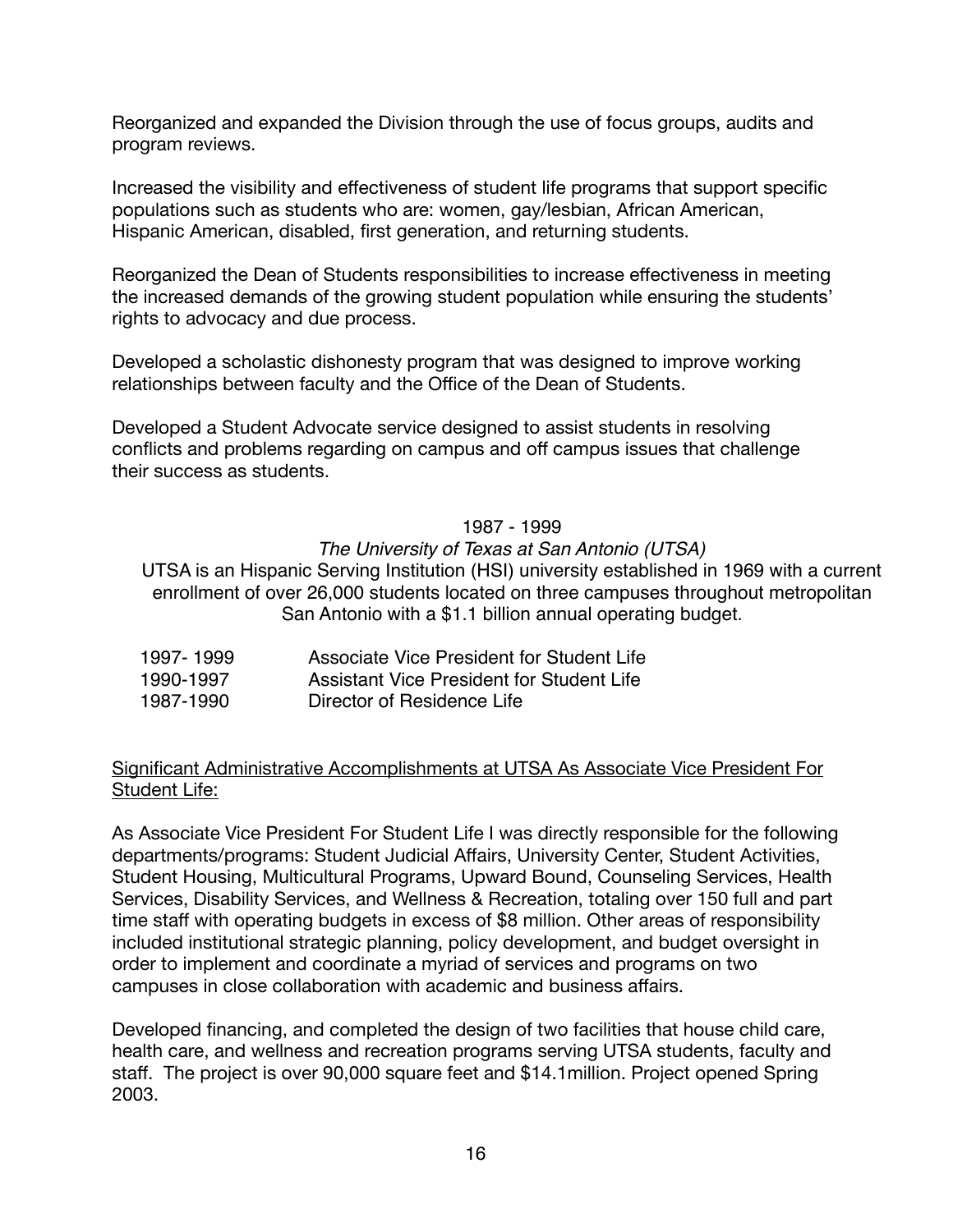Reorganized and expanded the Division through the use of focus groups, audits and program reviews.

Increased the visibility and effectiveness of student life programs that support specific populations such as students who are: women, gay/lesbian, African American, Hispanic American, disabled, first generation, and returning students.

Reorganized the Dean of Students responsibilities to increase effectiveness in meeting the increased demands of the growing student population while ensuring the students' rights to advocacy and due process.

Developed a scholastic dishonesty program that was designed to improve working relationships between faculty and the Office of the Dean of Students.

Developed a Student Advocate service designed to assist students in resolving conflicts and problems regarding on campus and off campus issues that challenge their success as students.

#### 1987 - 1999

#### *The University of Texas at San Antonio (UTSA)*

UTSA is an Hispanic Serving Institution (HSI) university established in 1969 with a current enrollment of over 26,000 students located on three campuses throughout metropolitan San Antonio with a \$1.1 billion annual operating budget.

| 1997-1999 | Associate Vice President for Student Life |  |
|-----------|-------------------------------------------|--|
|           |                                           |  |

- 1990-1997 Assistant Vice President for Student Life
- 1987-1990 Director of Residence Life

#### Significant Administrative Accomplishments at UTSA As Associate Vice President For Student Life:

As Associate Vice President For Student Life I was directly responsible for the following departments/programs: Student Judicial Affairs, University Center, Student Activities, Student Housing, Multicultural Programs, Upward Bound, Counseling Services, Health Services, Disability Services, and Wellness & Recreation, totaling over 150 full and part time staff with operating budgets in excess of \$8 million. Other areas of responsibility included institutional strategic planning, policy development, and budget oversight in order to implement and coordinate a myriad of services and programs on two campuses in close collaboration with academic and business affairs.

Developed financing, and completed the design of two facilities that house child care, health care, and wellness and recreation programs serving UTSA students, faculty and staff. The project is over 90,000 square feet and \$14.1million. Project opened Spring 2003.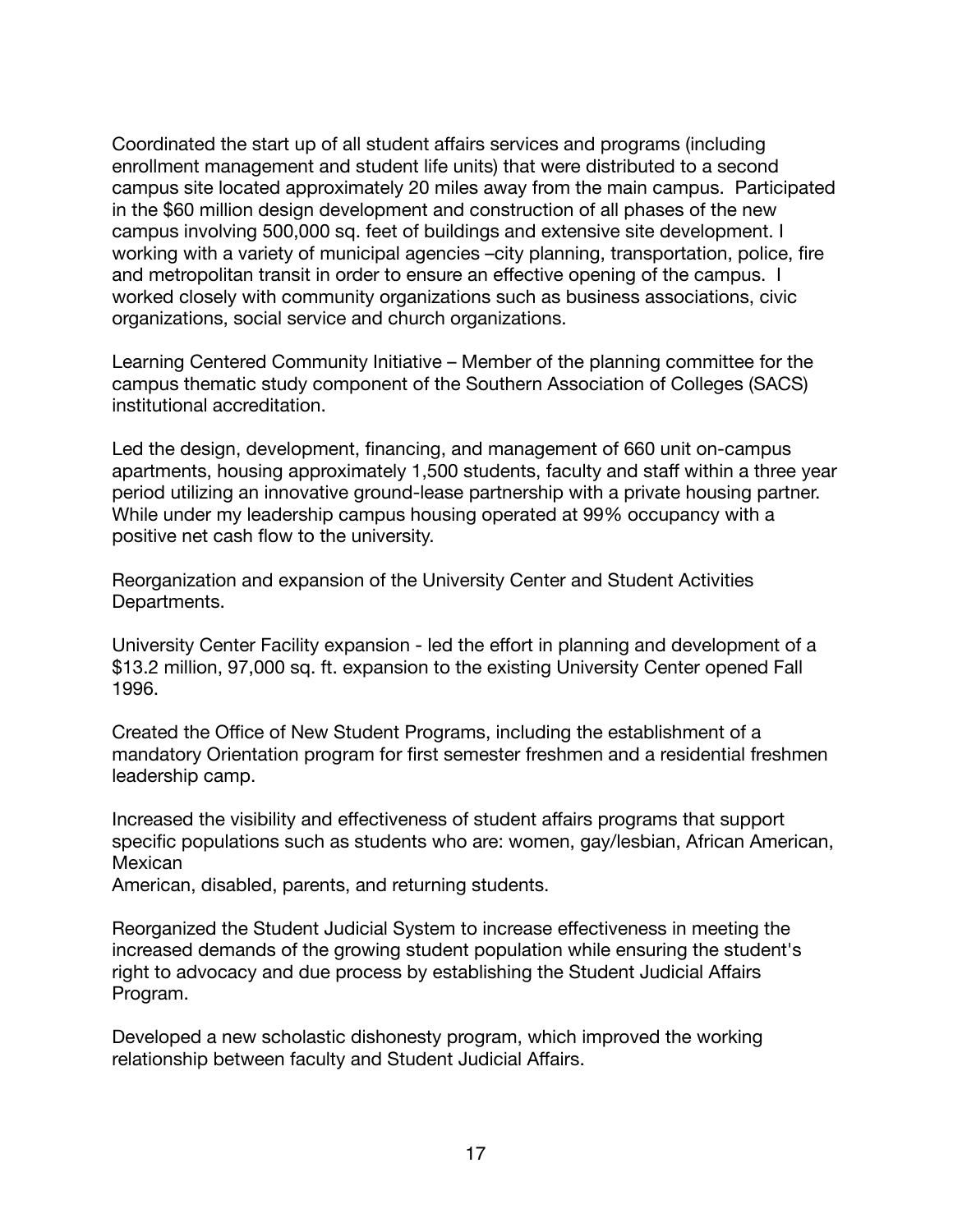Coordinated the start up of all student affairs services and programs (including enrollment management and student life units) that were distributed to a second campus site located approximately 20 miles away from the main campus. Participated in the \$60 million design development and construction of all phases of the new campus involving 500,000 sq. feet of buildings and extensive site development. I working with a variety of municipal agencies –city planning, transportation, police, fire and metropolitan transit in order to ensure an effective opening of the campus. I worked closely with community organizations such as business associations, civic organizations, social service and church organizations.

Learning Centered Community Initiative – Member of the planning committee for the campus thematic study component of the Southern Association of Colleges (SACS) institutional accreditation.

Led the design, development, financing, and management of 660 unit on-campus apartments, housing approximately 1,500 students, faculty and staff within a three year period utilizing an innovative ground-lease partnership with a private housing partner. While under my leadership campus housing operated at 99% occupancy with a positive net cash flow to the university.

Reorganization and expansion of the University Center and Student Activities Departments.

University Center Facility expansion - led the effort in planning and development of a \$13.2 million, 97,000 sq. ft. expansion to the existing University Center opened Fall 1996.

Created the Office of New Student Programs, including the establishment of a mandatory Orientation program for first semester freshmen and a residential freshmen leadership camp.

Increased the visibility and effectiveness of student affairs programs that support specific populations such as students who are: women, gay/lesbian, African American, Mexican

American, disabled, parents, and returning students.

Reorganized the Student Judicial System to increase effectiveness in meeting the increased demands of the growing student population while ensuring the student's right to advocacy and due process by establishing the Student Judicial Affairs Program.

Developed a new scholastic dishonesty program, which improved the working relationship between faculty and Student Judicial Affairs.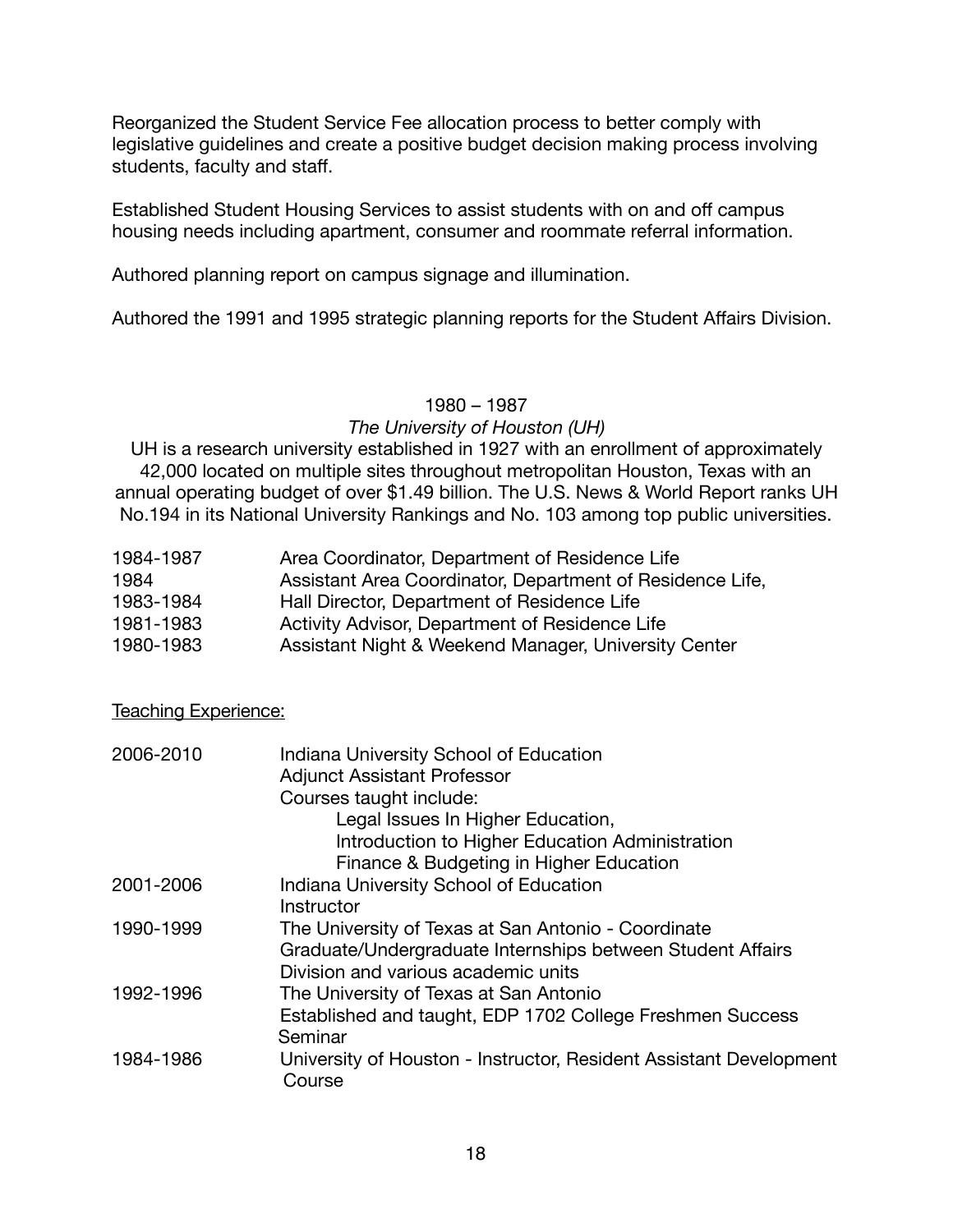Reorganized the Student Service Fee allocation process to better comply with legislative guidelines and create a positive budget decision making process involving students, faculty and staff.

Established Student Housing Services to assist students with on and off campus housing needs including apartment, consumer and roommate referral information.

Authored planning report on campus signage and illumination.

Authored the 1991 and 1995 strategic planning reports for the Student Affairs Division.

#### 1980 – 1987

#### *The University of Houston (UH)*

UH is a research university established in 1927 with an enrollment of approximately 42,000 located on multiple sites throughout metropolitan Houston, Texas with an annual operating budget of over \$1.49 billion. The U.S. News & World Report ranks UH No.194 in its National University Rankings and No. 103 among top public universities.

| 1984-1987 | Area Coordinator, Department of Residence Life            |
|-----------|-----------------------------------------------------------|
| 1984      | Assistant Area Coordinator, Department of Residence Life, |
| 1983-1984 | Hall Director, Department of Residence Life               |
| 1981-1983 | Activity Advisor, Department of Residence Life            |

1980-1983 **Assistant Night & Weekend Manager, University Center** 

Teaching Experience:

| 2006-2010 | Indiana University School of Education                             |
|-----------|--------------------------------------------------------------------|
|           | <b>Adjunct Assistant Professor</b>                                 |
|           | Courses taught include:                                            |
|           | Legal Issues In Higher Education,                                  |
|           | Introduction to Higher Education Administration                    |
|           | Finance & Budgeting in Higher Education                            |
| 2001-2006 | Indiana University School of Education                             |
|           | Instructor                                                         |
| 1990-1999 | The University of Texas at San Antonio - Coordinate                |
|           | Graduate/Undergraduate Internships between Student Affairs         |
|           | Division and various academic units                                |
| 1992-1996 | The University of Texas at San Antonio                             |
|           | Established and taught, EDP 1702 College Freshmen Success          |
|           | Seminar                                                            |
| 1984-1986 | University of Houston - Instructor, Resident Assistant Development |
|           | Course                                                             |
|           |                                                                    |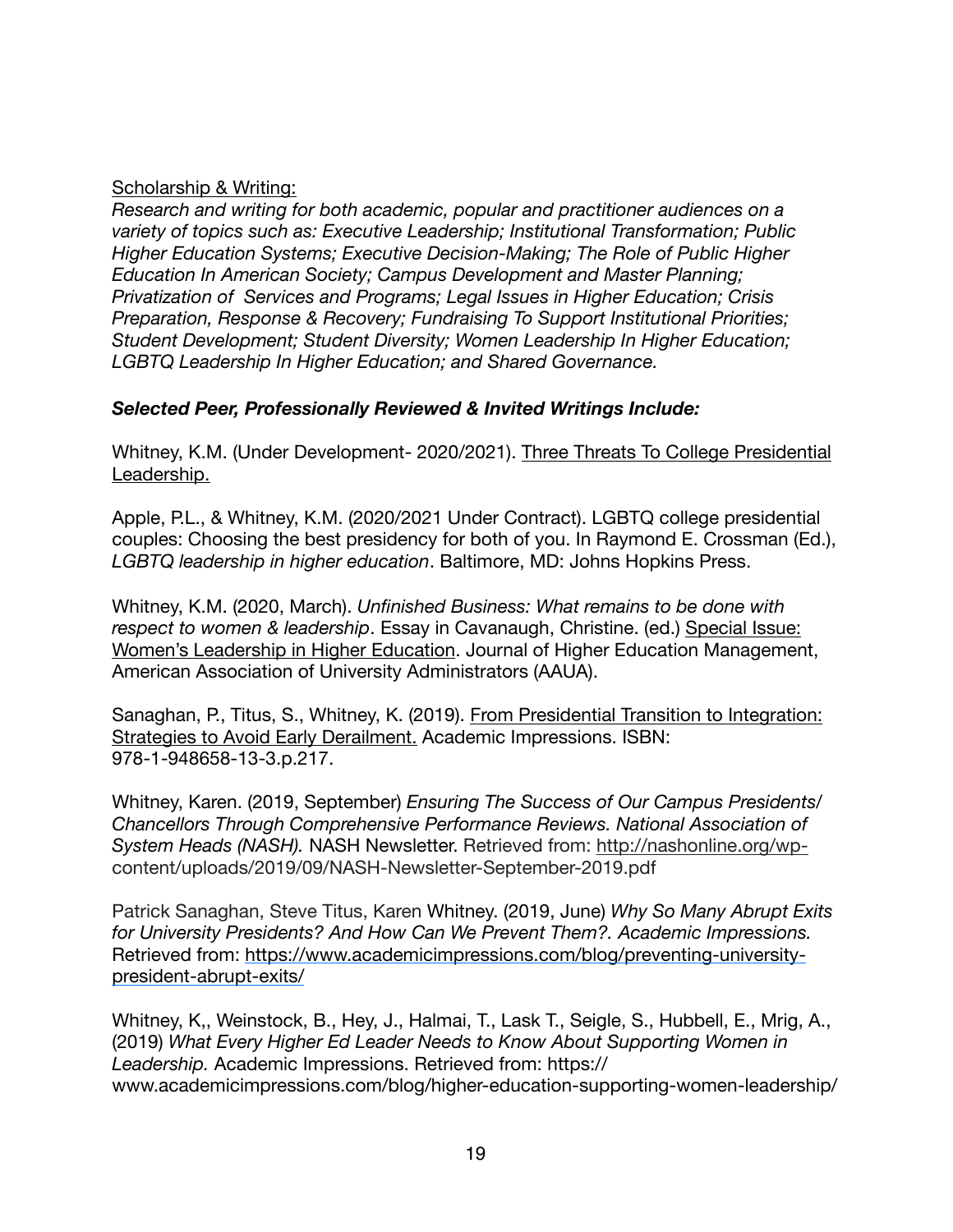## Scholarship & Writing:

*Research and writing for both academic, popular and practitioner audiences on a variety of topics such as: Executive Leadership; Institutional Transformation; Public Higher Education Systems; Executive Decision-Making; The Role of Public Higher Education In American Society; Campus Development and Master Planning; Privatization of Services and Programs; Legal Issues in Higher Education; Crisis Preparation, Response & Recovery; Fundraising To Support Institutional Priorities; Student Development; Student Diversity; Women Leadership In Higher Education; LGBTQ Leadership In Higher Education; and Shared Governance.* 

# *Selected Peer, Professionally Reviewed & Invited Writings Include:*

Whitney, K.M. (Under Development- 2020/2021). Three Threats To College Presidential Leadership.

Apple, P.L., & Whitney, K.M. (2020/2021 Under Contract). LGBTQ college presidential couples: Choosing the best presidency for both of you. In Raymond E. Crossman (Ed.), *LGBTQ leadership in higher education*. Baltimore, MD: Johns Hopkins Press.

Whitney, K.M. (2020, March). *Unfinished Business: What remains to be done with respect to women & leadership*. Essay in Cavanaugh, Christine. (ed.) Special Issue: Women's Leadership in Higher Education. Journal of Higher Education Management, American Association of University Administrators (AAUA).

Sanaghan, P., Titus, S., Whitney, K. (2019). From Presidential Transition to Integration: Strategies to Avoid Early Derailment. Academic Impressions. ISBN: 978-1-948658-13-3.p.217.

Whitney, Karen. (2019, September) *Ensuring The Success of Our Campus Presidents/ Chancellors Through Comprehensive Performance Reviews. National Association of System Heads (NASH).* NASH Newsletter. Retrieved from: [http://nashonline.org/wp](http://nashonline.org/wp-)content/uploads/2019/09/NASH-Newsletter-September-2019.pdf

Patrick Sanaghan, Steve Titus, Karen Whitney. (2019, June) *Why So Many Abrupt Exits for University Presidents? And How Can We Prevent Them?. Academic Impressions.*  Retrieved from: [https://www.academicimpressions.com/blog/preventing-university](https://www.academicimpressions.com/blog/preventing-university-president-abrupt-exits/)[president-abrupt-exits/](https://www.academicimpressions.com/blog/preventing-university-president-abrupt-exits/)

Whitney, K,, Weinstock, B., Hey, J., Halmai, T., Lask T., Seigle, S., Hubbell, E., Mrig, A., (2019) *What Every Higher Ed Leader Needs to Know About Supporting Women in Leadership.* Academic Impressions. Retrieved from: https:// www.academicimpressions.com/blog/higher-education-supporting-women-leadership/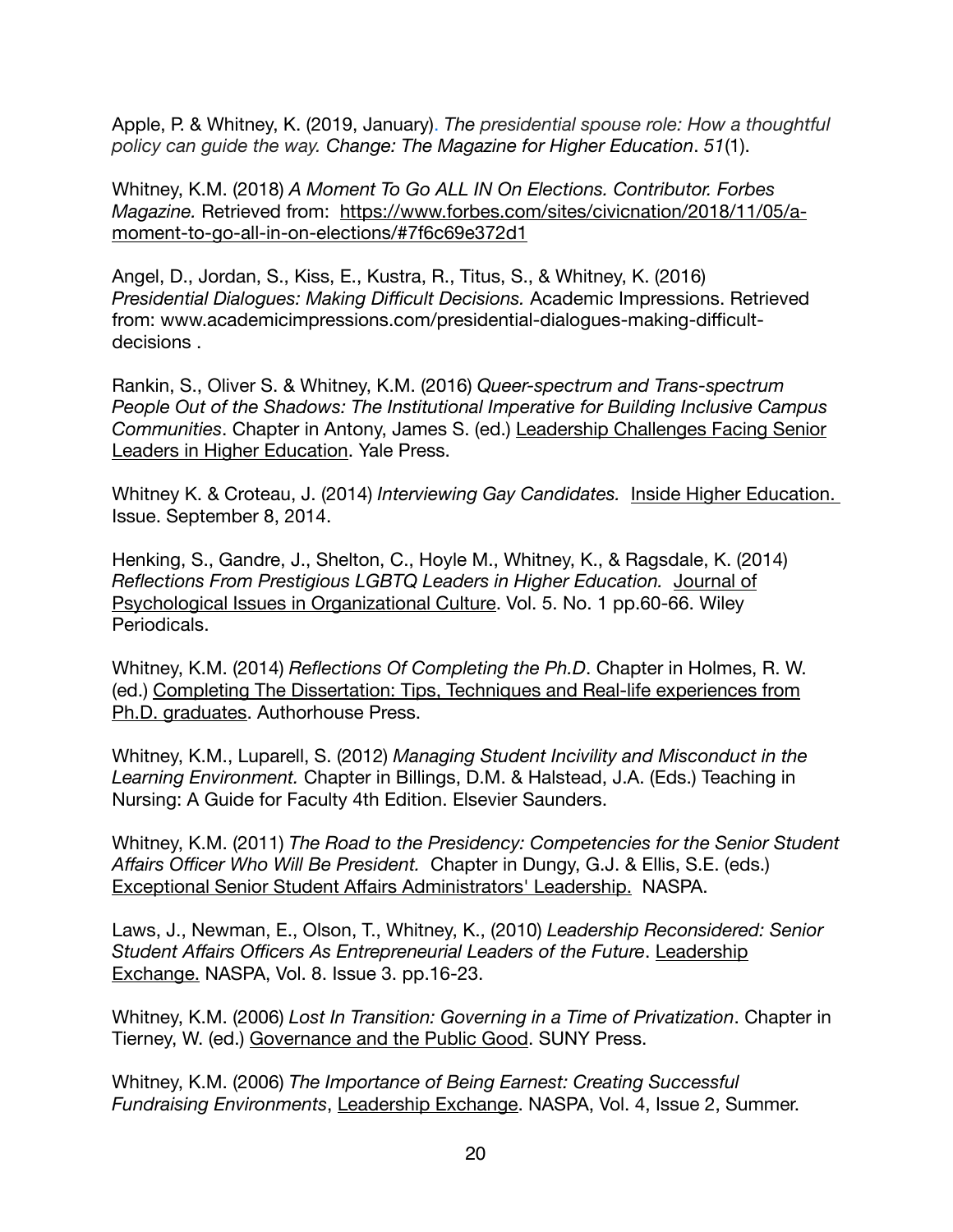Apple, P. & Whitney, K. (2019, January). *The presidential spouse role: How a thoughtful policy can guide the way. Change: The Magazine for Higher Education*. *51*(1).

Whitney, K.M. (2018) *A Moment To Go ALL IN On Elections. Contributor. Forbes Magazine.* Retrieved from:[https://www.forbes.com/sites/civicnation/2018/11/05/a](https://www.forbes.com/sites/civicnation/2018/11/05/a-moment-to-go-all-in-on-elections/#7f6c69e372d1)[moment-to-go-all-in-on-elections/#7f6c69e372d1](https://www.forbes.com/sites/civicnation/2018/11/05/a-moment-to-go-all-in-on-elections/#7f6c69e372d1)

Angel, D., Jordan, S., Kiss, E., Kustra, R., Titus, S., & Whitney, K. (2016) *Presidential Dialogues: Making Difficult Decisions.* Academic Impressions. Retrieved from: www.academicimpressions.com/presidential-dialogues-making-difficultdecisions .

Rankin, S., Oliver S. & Whitney, K.M. (2016) *Queer-spectrum and Trans-spectrum People Out of the Shadows: The Institutional Imperative for Building Inclusive Campus Communities*. Chapter in Antony, James S. (ed.) Leadership Challenges Facing Senior Leaders in Higher Education. Yale Press.

Whitney K. & Croteau, J. (2014) *Interviewing Gay Candidates.* Inside Higher Education. Issue. September 8, 2014.

Henking, S., Gandre, J., Shelton, C., Hoyle M., Whitney, K., & Ragsdale, K. (2014) *Reflections From Prestigious LGBTQ Leaders in Higher Education.* Journal of Psychological Issues in Organizational Culture. Vol. 5. No. 1 pp.60-66. Wiley Periodicals.

Whitney, K.M. (2014) *Reflections Of Completing the Ph.D*. Chapter in Holmes, R. W. (ed.) Completing The Dissertation: Tips, Techniques and Real-life experiences from Ph.D. graduates. Authorhouse Press.

Whitney, K.M., Luparell, S. (2012) *Managing Student Incivility and Misconduct in the Learning Environment.* Chapter in Billings, D.M. & Halstead, J.A. (Eds.) Teaching in Nursing: A Guide for Faculty 4th Edition. Elsevier Saunders.

Whitney, K.M. (2011) *The Road to the Presidency: Competencies for the Senior Student Affairs Officer Who Will Be President.* Chapter in Dungy, G.J. & Ellis, S.E. (eds.) Exceptional Senior Student Affairs Administrators' Leadership. NASPA.

Laws, J., Newman, E., Olson, T., Whitney, K., (2010) *Leadership Reconsidered: Senior Student Affairs Officers As Entrepreneurial Leaders of the Future*. Leadership Exchange. NASPA, Vol. 8. Issue 3. pp.16-23.

Whitney, K.M. (2006) *Lost In Transition: Governing in a Time of Privatization*. Chapter in Tierney, W. (ed.) Governance and the Public Good. SUNY Press.

Whitney, K.M. (2006) *The Importance of Being Earnest: Creating Successful Fundraising Environments*, Leadership Exchange. NASPA, Vol. 4, Issue 2, Summer.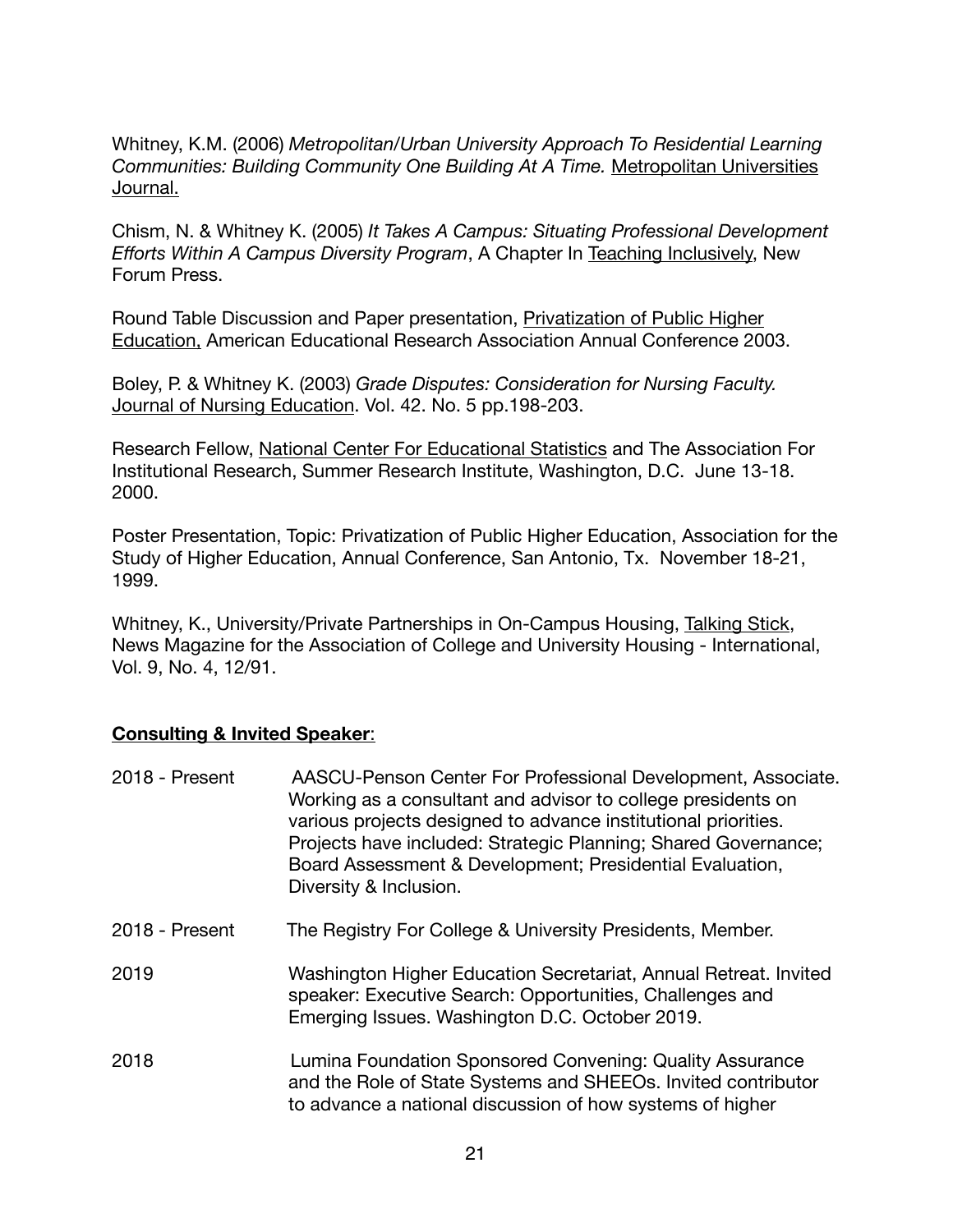Whitney, K.M. (2006) *Metropolitan/Urban University Approach To Residential Learning Communities: Building Community One Building At A Time.* Metropolitan Universities Journal.

Chism, N. & Whitney K. (2005) *It Takes A Campus: Situating Professional Development Efforts Within A Campus Diversity Program*, A Chapter In Teaching Inclusively, New Forum Press.

Round Table Discussion and Paper presentation, Privatization of Public Higher Education, American Educational Research Association Annual Conference 2003.

Boley, P. & Whitney K. (2003) *Grade Disputes: Consideration for Nursing Faculty.* Journal of Nursing Education. Vol. 42. No. 5 pp.198-203.

Research Fellow, National Center For Educational Statistics and The Association For Institutional Research, Summer Research Institute, Washington, D.C. June 13-18. 2000.

Poster Presentation, Topic: Privatization of Public Higher Education, Association for the Study of Higher Education, Annual Conference, San Antonio, Tx. November 18-21, 1999.

Whitney, K., University/Private Partnerships in On-Campus Housing, Talking Stick, News Magazine for the Association of College and University Housing - International, Vol. 9, No. 4, 12/91.

#### **Consulting & Invited Speaker**:

| 2018 - Present | AASCU-Penson Center For Professional Development, Associate.<br>Working as a consultant and advisor to college presidents on<br>various projects designed to advance institutional priorities.<br>Projects have included: Strategic Planning; Shared Governance;<br>Board Assessment & Development; Presidential Evaluation,<br>Diversity & Inclusion. |
|----------------|--------------------------------------------------------------------------------------------------------------------------------------------------------------------------------------------------------------------------------------------------------------------------------------------------------------------------------------------------------|
| 2018 - Present | The Registry For College & University Presidents, Member.                                                                                                                                                                                                                                                                                              |
| 2019           | Washington Higher Education Secretariat, Annual Retreat. Invited<br>speaker: Executive Search: Opportunities, Challenges and<br>Emerging Issues. Washington D.C. October 2019.                                                                                                                                                                         |
| 2018           | Lumina Foundation Sponsored Convening: Quality Assurance<br>and the Role of State Systems and SHEEOs. Invited contributor<br>to advance a national discussion of how systems of higher                                                                                                                                                                 |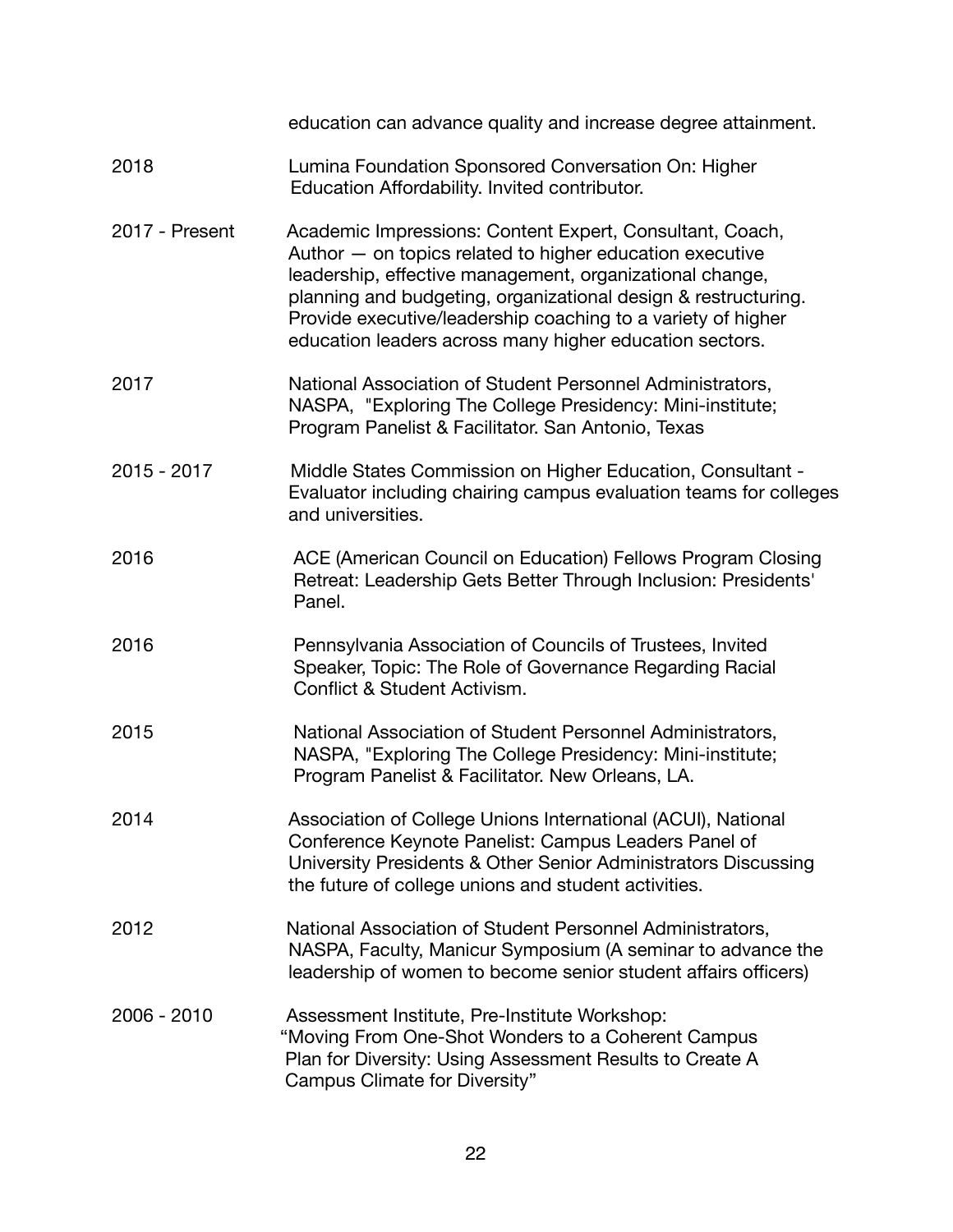|                | education can advance quality and increase degree attainment.                                                                                                                                                                                                                                                                                                                 |
|----------------|-------------------------------------------------------------------------------------------------------------------------------------------------------------------------------------------------------------------------------------------------------------------------------------------------------------------------------------------------------------------------------|
| 2018           | Lumina Foundation Sponsored Conversation On: Higher<br>Education Affordability. Invited contributor.                                                                                                                                                                                                                                                                          |
| 2017 - Present | Academic Impressions: Content Expert, Consultant, Coach,<br>Author - on topics related to higher education executive<br>leadership, effective management, organizational change,<br>planning and budgeting, organizational design & restructuring.<br>Provide executive/leadership coaching to a variety of higher<br>education leaders across many higher education sectors. |
| 2017           | National Association of Student Personnel Administrators,<br>NASPA, "Exploring The College Presidency: Mini-institute;<br>Program Panelist & Facilitator. San Antonio, Texas                                                                                                                                                                                                  |
| $2015 - 2017$  | Middle States Commission on Higher Education, Consultant -<br>Evaluator including chairing campus evaluation teams for colleges<br>and universities.                                                                                                                                                                                                                          |
| 2016           | ACE (American Council on Education) Fellows Program Closing<br>Retreat: Leadership Gets Better Through Inclusion: Presidents'<br>Panel.                                                                                                                                                                                                                                       |
| 2016           | Pennsylvania Association of Councils of Trustees, Invited<br>Speaker, Topic: The Role of Governance Regarding Racial<br>Conflict & Student Activism.                                                                                                                                                                                                                          |
| 2015           | National Association of Student Personnel Administrators,<br>NASPA, "Exploring The College Presidency: Mini-institute;<br>Program Panelist & Facilitator. New Orleans, LA.                                                                                                                                                                                                    |
| 2014           | Association of College Unions International (ACUI), National<br>Conference Keynote Panelist: Campus Leaders Panel of<br>University Presidents & Other Senior Administrators Discussing<br>the future of college unions and student activities.                                                                                                                                |
| 2012           | National Association of Student Personnel Administrators,<br>NASPA, Faculty, Manicur Symposium (A seminar to advance the<br>leadership of women to become senior student affairs officers)                                                                                                                                                                                    |
| 2006 - 2010    | Assessment Institute, Pre-Institute Workshop:<br>"Moving From One-Shot Wonders to a Coherent Campus<br>Plan for Diversity: Using Assessment Results to Create A<br>Campus Climate for Diversity"                                                                                                                                                                              |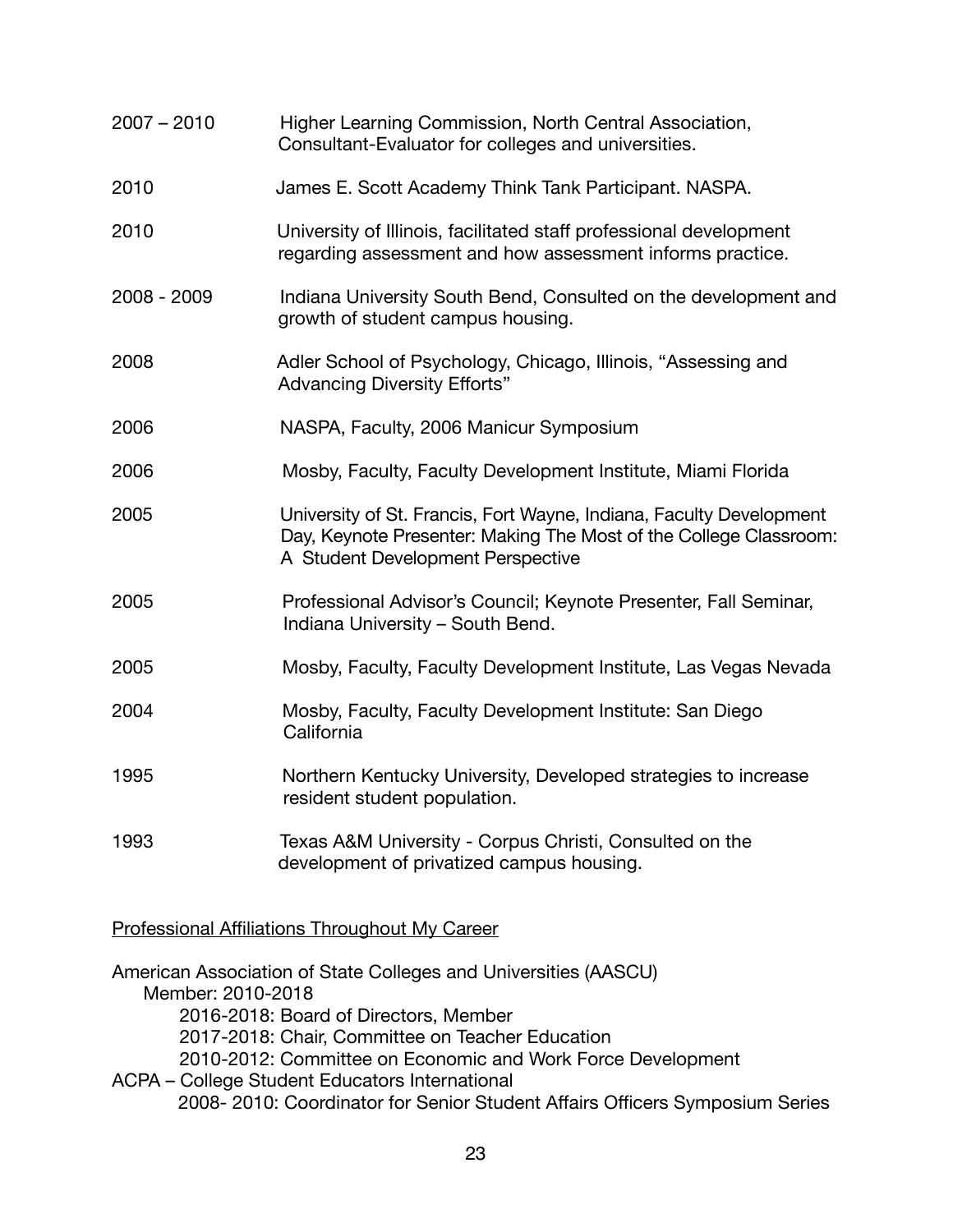| $2007 - 2010$ | Higher Learning Commission, North Central Association,<br>Consultant-Evaluator for colleges and universities.                                                                 |
|---------------|-------------------------------------------------------------------------------------------------------------------------------------------------------------------------------|
| 2010          | James E. Scott Academy Think Tank Participant. NASPA.                                                                                                                         |
| 2010          | University of Illinois, facilitated staff professional development<br>regarding assessment and how assessment informs practice.                                               |
| 2008 - 2009   | Indiana University South Bend, Consulted on the development and<br>growth of student campus housing.                                                                          |
| 2008          | Adler School of Psychology, Chicago, Illinois, "Assessing and<br><b>Advancing Diversity Efforts"</b>                                                                          |
| 2006          | NASPA, Faculty, 2006 Manicur Symposium                                                                                                                                        |
| 2006          | Mosby, Faculty, Faculty Development Institute, Miami Florida                                                                                                                  |
| 2005          | University of St. Francis, Fort Wayne, Indiana, Faculty Development<br>Day, Keynote Presenter: Making The Most of the College Classroom:<br>A Student Development Perspective |
| 2005          | Professional Advisor's Council; Keynote Presenter, Fall Seminar,<br>Indiana University - South Bend.                                                                          |
| 2005          | Mosby, Faculty, Faculty Development Institute, Las Vegas Nevada                                                                                                               |
| 2004          | Mosby, Faculty, Faculty Development Institute: San Diego<br>California                                                                                                        |
| 1995          | Northern Kentucky University, Developed strategies to increase<br>resident student population.                                                                                |
| 1993          | Texas A&M University - Corpus Christi, Consulted on the<br>development of privatized campus housing.                                                                          |

Professional Affiliations Throughout My Career

American Association of State Colleges and Universities (AASCU) Member: 2010-2018 2016-2018: Board of Directors, Member 2017-2018: Chair, Committee on Teacher Education 2010-2012: Committee on Economic and Work Force Development ACPA – College Student Educators International

2008- 2010: Coordinator for Senior Student Affairs Officers Symposium Series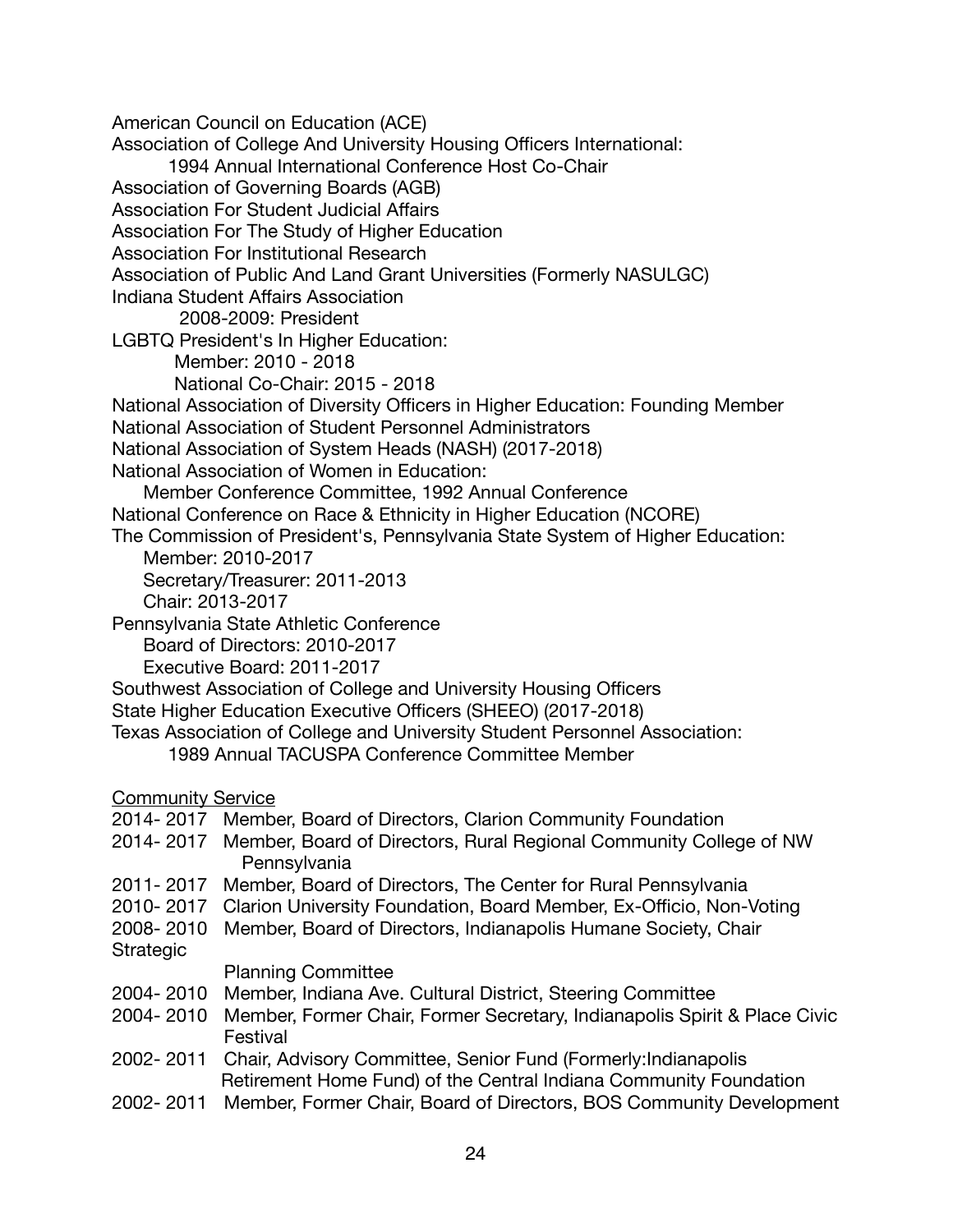American Council on Education (ACE) Association of College And University Housing Officers International: 1994 Annual International Conference Host Co-Chair Association of Governing Boards (AGB) Association For Student Judicial Affairs Association For The Study of Higher Education Association For Institutional Research Association of Public And Land Grant Universities (Formerly NASULGC) Indiana Student Affairs Association 2008-2009: President LGBTQ President's In Higher Education: Member: 2010 - 2018 National Co-Chair: 2015 - 2018 National Association of Diversity Officers in Higher Education: Founding Member National Association of Student Personnel Administrators National Association of System Heads (NASH) (2017-2018) National Association of Women in Education: Member Conference Committee, 1992 Annual Conference National Conference on Race & Ethnicity in Higher Education (NCORE) The Commission of President's, Pennsylvania State System of Higher Education: Member: 2010-2017 Secretary/Treasurer: 2011-2013 Chair: 2013-2017 Pennsylvania State Athletic Conference Board of Directors: 2010-2017 Executive Board: 2011-2017 Southwest Association of College and University Housing Officers State Higher Education Executive Officers (SHEEO) (2017-2018) Texas Association of College and University Student Personnel Association: 1989 Annual TACUSPA Conference Committee Member Community Service 2014- 2017 Member, Board of Directors, Clarion Community Foundation 2014- 2017 Member, Board of Directors, Rural Regional Community College of NW **Pennsylvania** 2011- 2017 Member, Board of Directors, The Center for Rural Pennsylvania 2010- 2017 Clarion University Foundation, Board Member, Ex-Officio, Non-Voting 2008- 2010 Member, Board of Directors, Indianapolis Humane Society, Chair Strategic Planning Committee 2004- 2010 Member, Indiana Ave. Cultural District, Steering Committee 2004- 2010 Member, Former Chair, Former Secretary, Indianapolis Spirit & Place Civic Festival 2002- 2011 Chair, Advisory Committee, Senior Fund (Formerly:Indianapolis Retirement Home Fund) of the Central Indiana Community Foundation

2002- 2011 Member, Former Chair, Board of Directors, BOS Community Development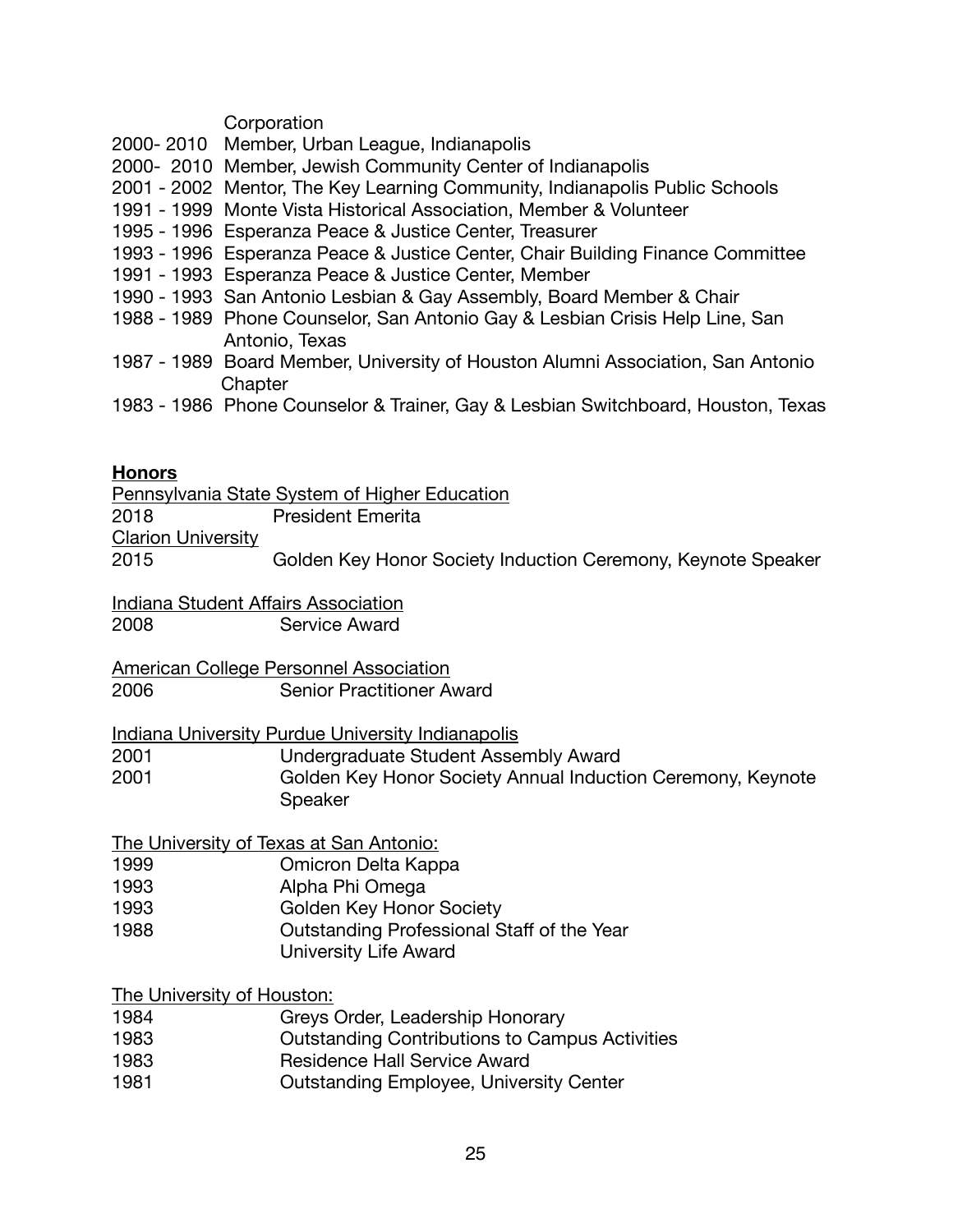#### **Corporation**

- 2000- 2010 Member, Urban League, Indianapolis
- 2000- 2010 Member, Jewish Community Center of Indianapolis
- 2001 2002 Mentor, The Key Learning Community, Indianapolis Public Schools
- 1991 1999 Monte Vista Historical Association, Member & Volunteer
- 1995 1996 Esperanza Peace & Justice Center, Treasurer
- 1993 1996 Esperanza Peace & Justice Center, Chair Building Finance Committee
- 1991 1993 Esperanza Peace & Justice Center, Member
- 1990 1993 San Antonio Lesbian & Gay Assembly, Board Member & Chair
- 1988 1989 Phone Counselor, San Antonio Gay & Lesbian Crisis Help Line, San Antonio, Texas
- 1987 1989 Board Member, University of Houston Alumni Association, San Antonio **Chapter**
- 1983 1986 Phone Counselor & Trainer, Gay & Lesbian Switchboard, Houston, Texas

#### **Honors**

Pennsylvania State System of Higher Education 2018 President Emerita **Clarion University** 2015 Golden Key Honor Society Induction Ceremony, Keynote Speaker

Indiana Student Affairs Association 2008 Service Award

American College Personnel Association 2006 Senior Practitioner Award

Indiana University Purdue University Indianapolis

2001 **Undergraduate Student Assembly Award** 

2001 Golden Key Honor Society Annual Induction Ceremony, Keynote Speaker

The University of Texas at San Antonio:

- 1999 **Comicron Delta Kappa**
- 1993 **Alpha Phi Omega**
- 1993 **Golden Key Honor Society**
- 1988 **Cutstanding Professional Staff of the Year** 
	- University Life Award

The University of Houston:

- 1984 **Greys Order, Leadership Honorary**
- 1983 **Cutstanding Contributions to Campus Activities**
- 1983 **Residence Hall Service Award**
- 1981 **Cutstanding Employee, University Center**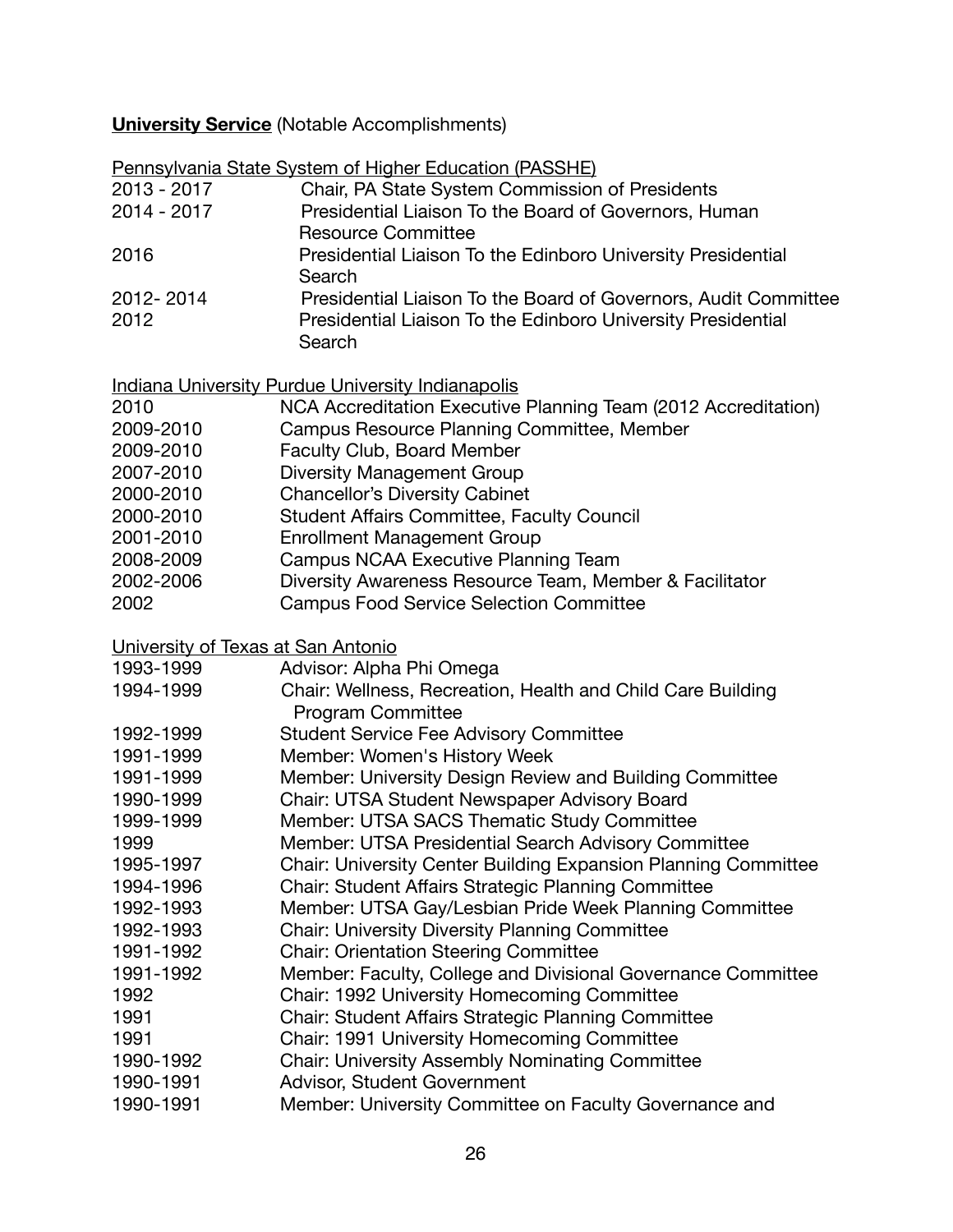# **University Service** (Notable Accomplishments)

|                                    | Pennsylvania State System of Higher Education (PASSHE)          |
|------------------------------------|-----------------------------------------------------------------|
| $2013 - 2017$                      | Chair, PA State System Commission of Presidents                 |
| 2014 - 2017                        | Presidential Liaison To the Board of Governors, Human           |
|                                    | <b>Resource Committee</b>                                       |
| 2016                               | Presidential Liaison To the Edinboro University Presidential    |
|                                    | Search                                                          |
| 2012-2014                          | Presidential Liaison To the Board of Governors, Audit Committee |
| 2012                               | Presidential Liaison To the Edinboro University Presidential    |
|                                    | Search                                                          |
|                                    | <b>Indiana University Purdue University Indianapolis</b>        |
| 2010                               | NCA Accreditation Executive Planning Team (2012 Accreditation)  |
| 2009-2010                          | Campus Resource Planning Committee, Member                      |
| 2009-2010                          | Faculty Club, Board Member                                      |
| 2007-2010                          | <b>Diversity Management Group</b>                               |
| 2000-2010                          | <b>Chancellor's Diversity Cabinet</b>                           |
| 2000-2010                          | <b>Student Affairs Committee, Faculty Council</b>               |
| 2001-2010                          | <b>Enrollment Management Group</b>                              |
| 2008-2009                          | Campus NCAA Executive Planning Team                             |
| 2002-2006                          | Diversity Awareness Resource Team, Member & Facilitator         |
| 2002                               | <b>Campus Food Service Selection Committee</b>                  |
|                                    |                                                                 |
| University of Texas at San Antonio |                                                                 |
| 1993-1999                          | Advisor: Alpha Phi Omega                                        |
| 1994-1999                          | Chair: Wellness, Recreation, Health and Child Care Building     |
|                                    | <b>Program Committee</b>                                        |
| 1992-1999                          | <b>Student Service Fee Advisory Committee</b>                   |
| 1991-1999                          | Member: Women's History Week                                    |
| 1991-1999                          | Member: University Design Review and Building Committee         |
| 1990-1999                          | Chair: UTSA Student Newspaper Advisory Board                    |
| 1999-1999                          | Member: UTSA SACS Thematic Study Committee                      |
| 1999                               | Member: UTSA Presidential Search Advisory Committee             |
| 1995-1997                          | Chair: University Center Building Expansion Planning Committee  |
| 1994-1996                          | Chair: Student Affairs Strategic Planning Committee             |
| 1992-1993                          | Member: UTSA Gay/Lesbian Pride Week Planning Committee          |
| 1992-1993                          | <b>Chair: University Diversity Planning Committee</b>           |
| 1991-1992                          | <b>Chair: Orientation Steering Committee</b>                    |
| 1991-1992                          | Member: Faculty, College and Divisional Governance Committee    |
| 1992                               | Chair: 1992 University Homecoming Committee                     |
| 1991                               | Chair: Student Affairs Strategic Planning Committee             |
| 1991                               | Chair: 1991 University Homecoming Committee                     |
| 1990-1992                          | <b>Chair: University Assembly Nominating Committee</b>          |
| 1990-1991                          | Advisor, Student Government                                     |
| 1990-1991                          | Member: University Committee on Faculty Governance and          |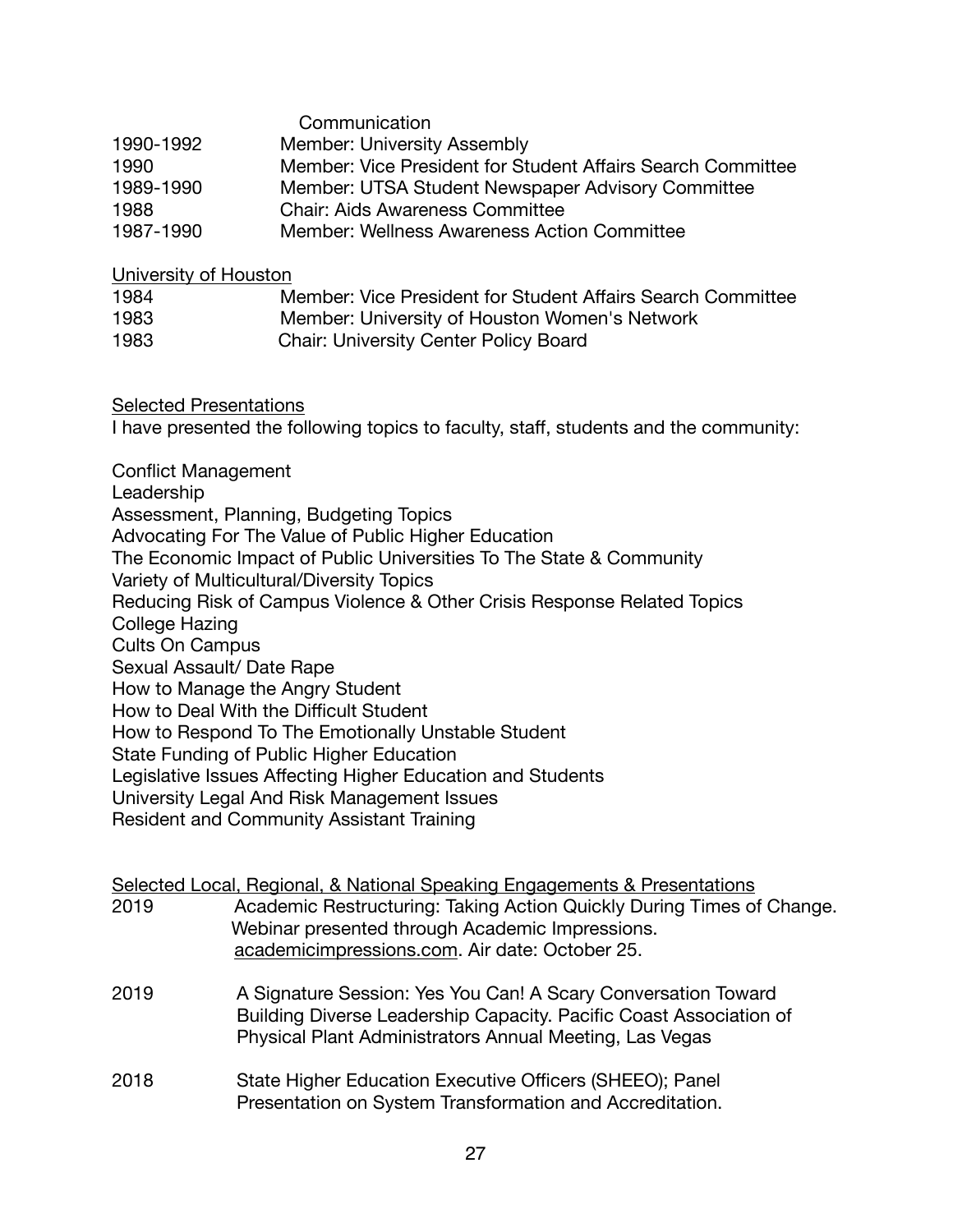|           | Communication                                               |
|-----------|-------------------------------------------------------------|
| 1990-1992 | <b>Member: University Assembly</b>                          |
| 1990      | Member: Vice President for Student Affairs Search Committee |
| 1989-1990 | Member: UTSA Student Newspaper Advisory Committee           |
| 1988      | <b>Chair: Aids Awareness Committee</b>                      |
| 1987-1990 | Member: Wellness Awareness Action Committee                 |

University of Houston

| 1984 | Member: Vice President for Student Affairs Search Committee |
|------|-------------------------------------------------------------|
| 1983 | Member: University of Houston Women's Network               |
| 1983 | <b>Chair: University Center Policy Board</b>                |

Selected Presentations

I have presented the following topics to faculty, staff, students and the community:

Conflict Management Leadership Assessment, Planning, Budgeting Topics Advocating For The Value of Public Higher Education The Economic Impact of Public Universities To The State & Community Variety of Multicultural/Diversity Topics Reducing Risk of Campus Violence & Other Crisis Response Related Topics College Hazing Cults On Campus Sexual Assault/ Date Rape How to Manage the Angry Student How to Deal With the Difficult Student How to Respond To The Emotionally Unstable Student State Funding of Public Higher Education Legislative Issues Affecting Higher Education and Students University Legal And Risk Management Issues Resident and Community Assistant Training

|      | Selected Local, Regional, & National Speaking Engagements & Presentations                                                                                                                      |
|------|------------------------------------------------------------------------------------------------------------------------------------------------------------------------------------------------|
| 2019 | Academic Restructuring: Taking Action Quickly During Times of Change.                                                                                                                          |
|      | Webinar presented through Academic Impressions.                                                                                                                                                |
|      | academicimpressions.com. Air date: October 25.                                                                                                                                                 |
| 2019 | A Signature Session: Yes You Can! A Scary Conversation Toward<br>Building Diverse Leadership Capacity. Pacific Coast Association of<br>Physical Plant Administrators Annual Meeting, Las Vegas |
| 2018 | State Higher Education Executive Officers (SHEEO); Panel<br>Presentation on System Transformation and Accreditation.                                                                           |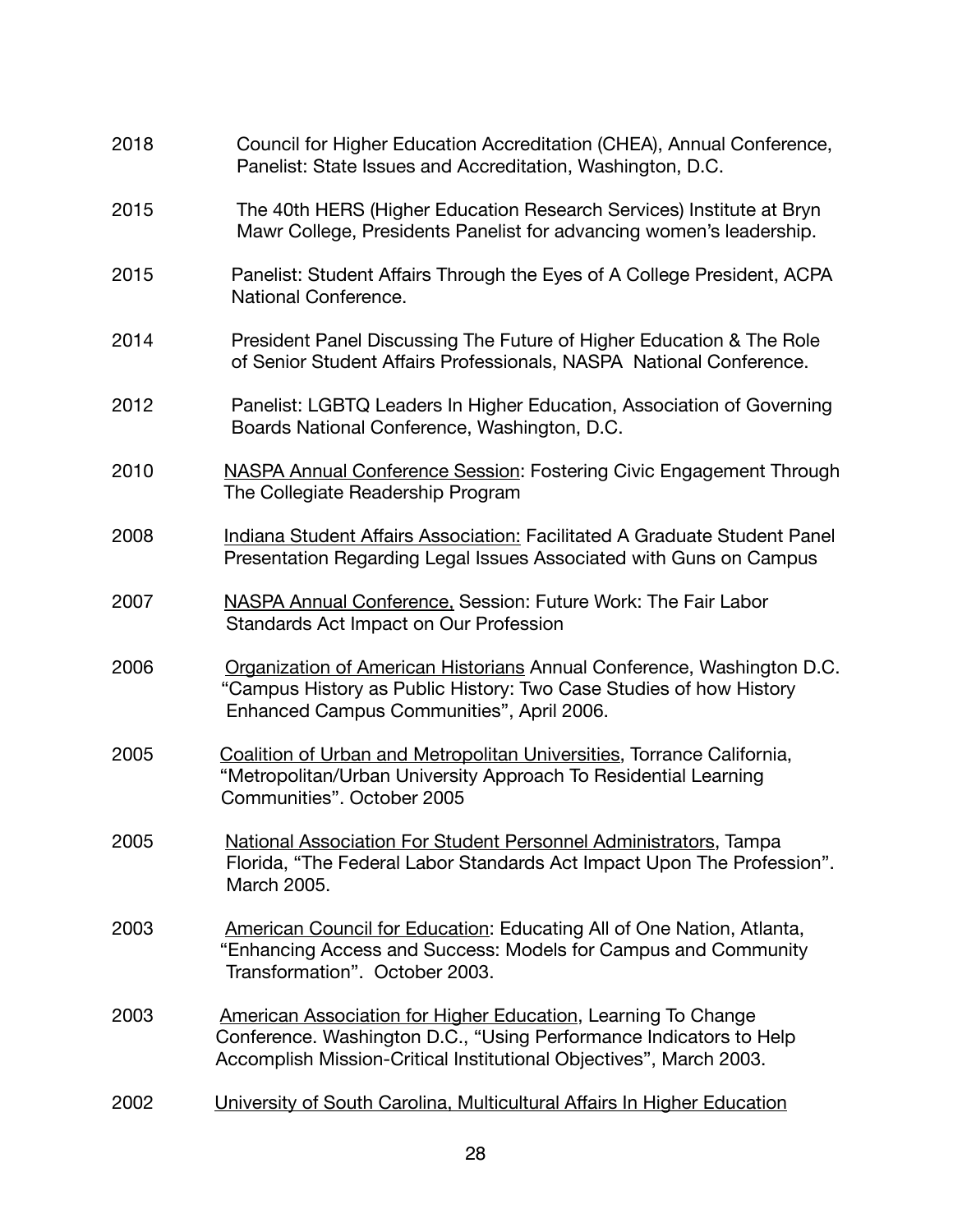| 2018 | Council for Higher Education Accreditation (CHEA), Annual Conference,<br>Panelist: State Issues and Accreditation, Washington, D.C.                                                                       |
|------|-----------------------------------------------------------------------------------------------------------------------------------------------------------------------------------------------------------|
| 2015 | The 40th HERS (Higher Education Research Services) Institute at Bryn<br>Mawr College, Presidents Panelist for advancing women's leadership.                                                               |
| 2015 | Panelist: Student Affairs Through the Eyes of A College President, ACPA<br>National Conference.                                                                                                           |
| 2014 | President Panel Discussing The Future of Higher Education & The Role<br>of Senior Student Affairs Professionals, NASPA National Conference.                                                               |
| 2012 | Panelist: LGBTQ Leaders In Higher Education, Association of Governing<br>Boards National Conference, Washington, D.C.                                                                                     |
| 2010 | <b>NASPA Annual Conference Session: Fostering Civic Engagement Through</b><br>The Collegiate Readership Program                                                                                           |
| 2008 | Indiana Student Affairs Association: Facilitated A Graduate Student Panel<br>Presentation Regarding Legal Issues Associated with Guns on Campus                                                           |
| 2007 | NASPA Annual Conference, Session: Future Work: The Fair Labor<br>Standards Act Impact on Our Profession                                                                                                   |
| 2006 | Organization of American Historians Annual Conference, Washington D.C.<br>"Campus History as Public History: Two Case Studies of how History<br>Enhanced Campus Communities", April 2006.                 |
| 2005 | Coalition of Urban and Metropolitan Universities, Torrance California,<br>"Metropolitan/Urban University Approach To Residential Learning<br>Communities". October 2005                                   |
| 2005 | National Association For Student Personnel Administrators, Tampa<br>Florida, "The Federal Labor Standards Act Impact Upon The Profession".<br>March 2005.                                                 |
| 2003 | American Council for Education: Educating All of One Nation, Atlanta,<br>"Enhancing Access and Success: Models for Campus and Community<br>Transformation". October 2003.                                 |
| 2003 | American Association for Higher Education, Learning To Change<br>Conference. Washington D.C., "Using Performance Indicators to Help<br>Accomplish Mission-Critical Institutional Objectives", March 2003. |
| 2002 | University of South Carolina, Multicultural Affairs In Higher Education                                                                                                                                   |